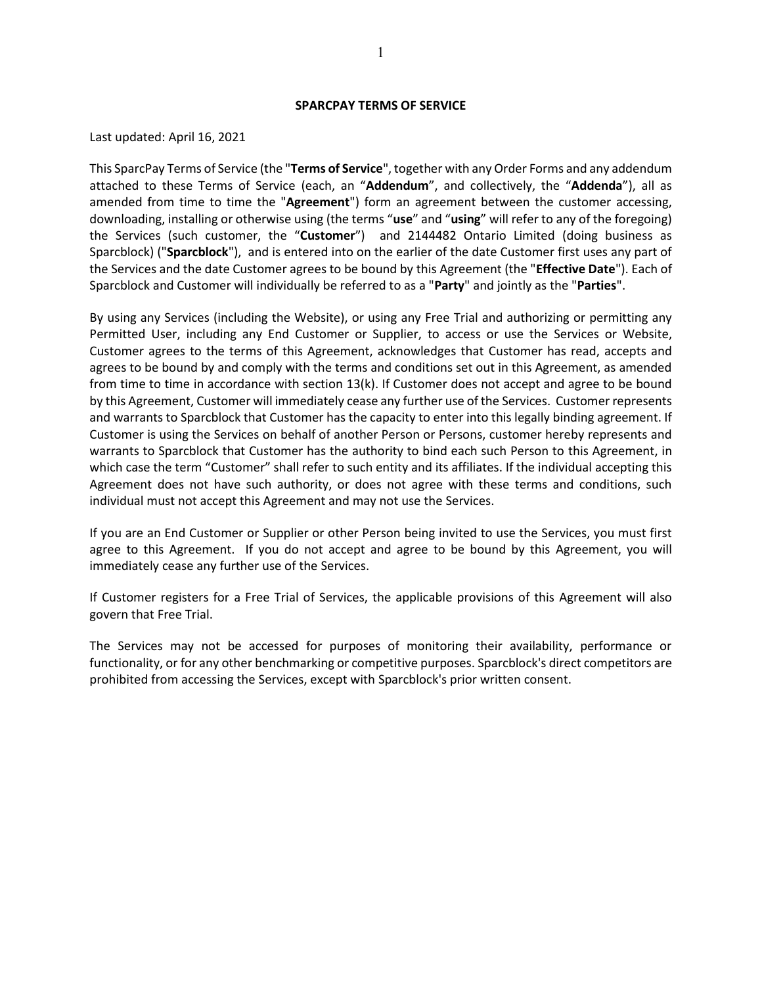#### **SPARCPAY TERMS OF SERVICE**

#### Last updated: April 16, 2021

This SparcPay Terms of Service (the "**Terms of Service**", together with any Order Forms and any addendum attached to these Terms of Service (each, an "**Addendum**", and collectively, the "**Addenda**"), all as amended from time to time the "**Agreement**") form an agreement between the customer accessing, downloading, installing or otherwise using (the terms "**use**" and "**using**" will refer to any of the foregoing) the Services (such customer, the "**Customer**") and 2144482 Ontario Limited (doing business as Sparcblock) ("**Sparcblock**"), and is entered into on the earlier of the date Customer first uses any part of the Services and the date Customer agrees to be bound by this Agreement (the "**Effective Date**"). Each of Sparcblock and Customer will individually be referred to as a "**Party**" and jointly as the "**Parties**".

By using any Services (including the Website), or using any Free Trial and authorizing or permitting any Permitted User, including any End Customer or Supplier, to access or use the Services or Website, Customer agrees to the terms of this Agreement, acknowledges that Customer has read, accepts and agrees to be bound by and comply with the terms and conditions set out in this Agreement, as amended from time to time in accordance with section [13\(k\).](#page-19-0) If Customer does not accept and agree to be bound by this Agreement, Customer will immediately cease any further use of the Services. Customer represents and warrants to Sparcblock that Customer has the capacity to enter into this legally binding agreement. If Customer is using the Services on behalf of another Person or Persons, customer hereby represents and warrants to Sparcblock that Customer has the authority to bind each such Person to this Agreement, in which case the term "Customer" shall refer to such entity and its affiliates. If the individual accepting this Agreement does not have such authority, or does not agree with these terms and conditions, such individual must not accept this Agreement and may not use the Services.

If you are an End Customer or Supplier or other Person being invited to use the Services, you must first agree to this Agreement. If you do not accept and agree to be bound by this Agreement, you will immediately cease any further use of the Services.

If Customer registers for a Free Trial of Services, the applicable provisions of this Agreement will also govern that Free Trial.

The Services may not be accessed for purposes of monitoring their availability, performance or functionality, or for any other benchmarking or competitive purposes. Sparcblock's direct competitors are prohibited from accessing the Services, except with Sparcblock's prior written consent.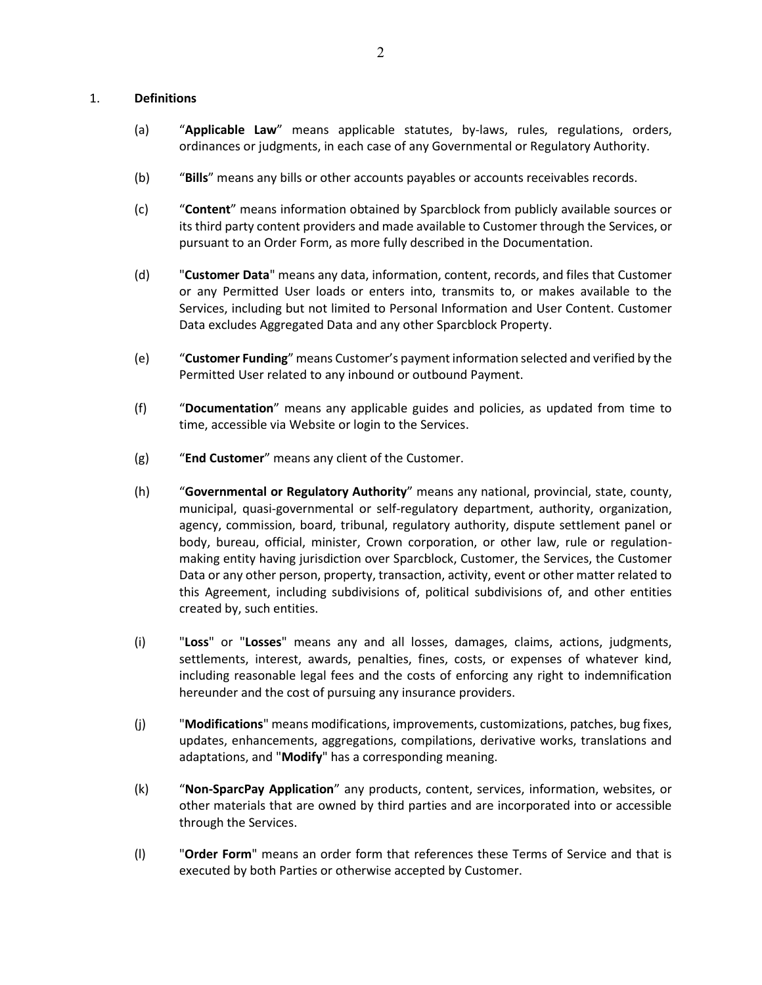## 1. **Definitions**

- (a) "**Applicable Law**" means applicable statutes, by-laws, rules, regulations, orders, ordinances or judgments, in each case of any Governmental or Regulatory Authority.
- (b) "**Bills**" means any bills or other accounts payables or accounts receivables records.
- (c) "**Content**" means information obtained by Sparcblock from publicly available sources or its third party content providers and made available to Customer through the Services, or pursuant to an Order Form, as more fully described in the Documentation.
- (d) "**Customer Data**" means any data, information, content, records, and files that Customer or any Permitted User loads or enters into, transmits to, or makes available to the Services, including but not limited to Personal Information and User Content. Customer Data excludes Aggregated Data and any other Sparcblock Property.
- (e) "**Customer Funding**" means Customer's payment information selected and verified by the Permitted User related to any inbound or outbound Payment.
- (f) "**Documentation**" means any applicable guides and policies, as updated from time to time, accessible via Website or login to the Services.
- (g) "**End Customer**" means any client of the Customer.
- (h) "**Governmental or Regulatory Authority**" means any national, provincial, state, county, municipal, quasi-governmental or self-regulatory department, authority, organization, agency, commission, board, tribunal, regulatory authority, dispute settlement panel or body, bureau, official, minister, Crown corporation, or other law, rule or regulationmaking entity having jurisdiction over Sparcblock, Customer, the Services, the Customer Data or any other person, property, transaction, activity, event or other matter related to this Agreement, including subdivisions of, political subdivisions of, and other entities created by, such entities.
- (i) "**Loss**" or "**Losses**" means any and all losses, damages, claims, actions, judgments, settlements, interest, awards, penalties, fines, costs, or expenses of whatever kind, including reasonable legal fees and the costs of enforcing any right to indemnification hereunder and the cost of pursuing any insurance providers.
- (j) "**Modifications**" means modifications, improvements, customizations, patches, bug fixes, updates, enhancements, aggregations, compilations, derivative works, translations and adaptations, and "**Modify**" has a corresponding meaning.
- (k) "**Non-SparcPay Application**" any products, content, services, information, websites, or other materials that are owned by third parties and are incorporated into or accessible through the Services.
- (l) "**Order Form**" means an order form that references these Terms of Service and that is executed by both Parties or otherwise accepted by Customer.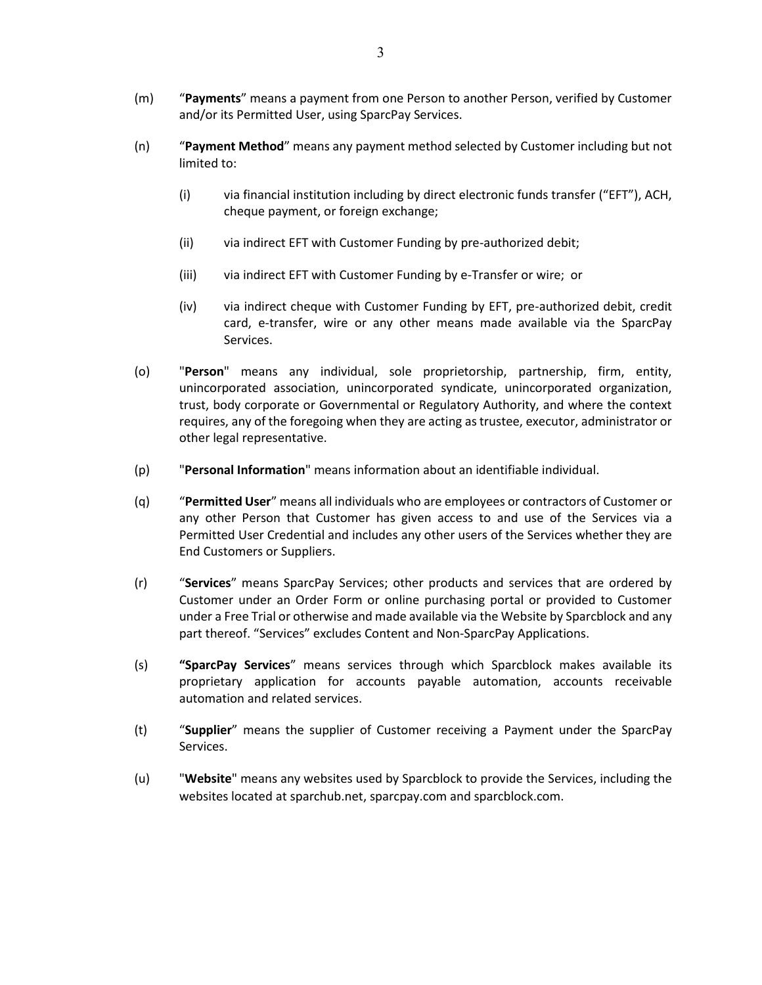- (m) "**Payments**" means a payment from one Person to another Person, verified by Customer and/or its Permitted User, using SparcPay Services.
- (n) "**Payment Method**" means any payment method selected by Customer including but not limited to:
	- (i) via financial institution including by direct electronic funds transfer ("EFT"), ACH, cheque payment, or foreign exchange;
	- (ii) via indirect EFT with Customer Funding by pre-authorized debit;
	- (iii) via indirect EFT with Customer Funding by e-Transfer or wire; or
	- (iv) via indirect cheque with Customer Funding by EFT, pre-authorized debit, credit card, e-transfer, wire or any other means made available via the SparcPay Services.
- (o) "**Person**" means any individual, sole proprietorship, partnership, firm, entity, unincorporated association, unincorporated syndicate, unincorporated organization, trust, body corporate or Governmental or Regulatory Authority, and where the context requires, any of the foregoing when they are acting as trustee, executor, administrator or other legal representative.
- (p) "**Personal Information**" means information about an identifiable individual.
- (q) "**Permitted User**" means all individuals who are employees or contractors of Customer or any other Person that Customer has given access to and use of the Services via a Permitted User Credential and includes any other users of the Services whether they are End Customers or Suppliers.
- (r) "**Services**" means SparcPay Services; other products and services that are ordered by Customer under an Order Form or online purchasing portal or provided to Customer under a Free Trial or otherwise and made available via the Website by Sparcblock and any part thereof. "Services" excludes Content and Non-SparcPay Applications.
- (s) **"SparcPay Services**" means services through which Sparcblock makes available its proprietary application for accounts payable automation, accounts receivable automation and related services.
- (t) "**Supplier**" means the supplier of Customer receiving a Payment under the SparcPay Services.
- (u) "**Website**" means any websites used by Sparcblock to provide the Services, including the websites located at sparchub.net, sparcpay.com and sparcblock.com.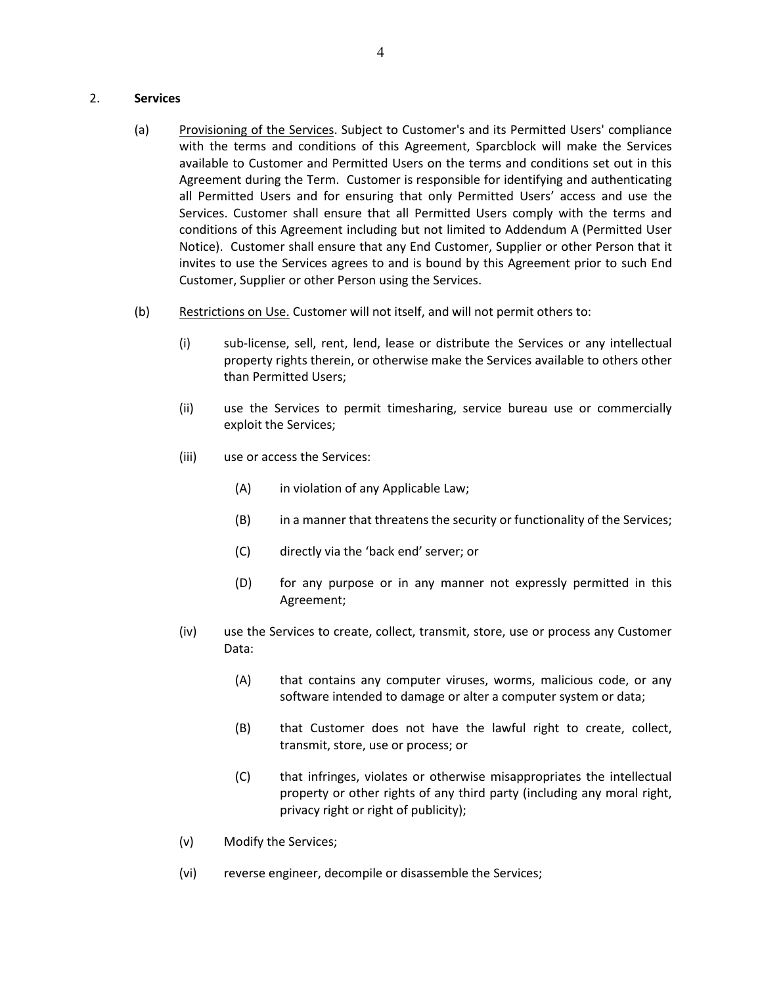### 2. **Services**

- (a) Provisioning of the Services. Subject to Customer's and its Permitted Users' compliance with the terms and conditions of this Agreement, Sparcblock will make the Services available to Customer and Permitted Users on the terms and conditions set out in this Agreement during the Term. Customer is responsible for identifying and authenticating all Permitted Users and for ensuring that only Permitted Users' access and use the Services. Customer shall ensure that all Permitted Users comply with the terms and conditions of this Agreement including but not limited to Addendum A (Permitted User Notice). Customer shall ensure that any End Customer, Supplier or other Person that it invites to use the Services agrees to and is bound by this Agreement prior to such End Customer, Supplier or other Person using the Services.
- (b) Restrictions on Use. Customer will not itself, and will not permit others to:
	- (i) sub-license, sell, rent, lend, lease or distribute the Services or any intellectual property rights therein, or otherwise make the Services available to others other than Permitted Users;
	- (ii) use the Services to permit timesharing, service bureau use or commercially exploit the Services;
	- (iii) use or access the Services:
		- (A) in violation of any Applicable Law;
		- (B) in a manner that threatens the security or functionality of the Services;
		- (C) directly via the 'back end' server; or
		- (D) for any purpose or in any manner not expressly permitted in this Agreement;
	- (iv) use the Services to create, collect, transmit, store, use or process any Customer Data:
		- (A) that contains any computer viruses, worms, malicious code, or any software intended to damage or alter a computer system or data;
		- (B) that Customer does not have the lawful right to create, collect, transmit, store, use or process; or
		- (C) that infringes, violates or otherwise misappropriates the intellectual property or other rights of any third party (including any moral right, privacy right or right of publicity);
	- (v) Modify the Services;
	- (vi) reverse engineer, decompile or disassemble the Services;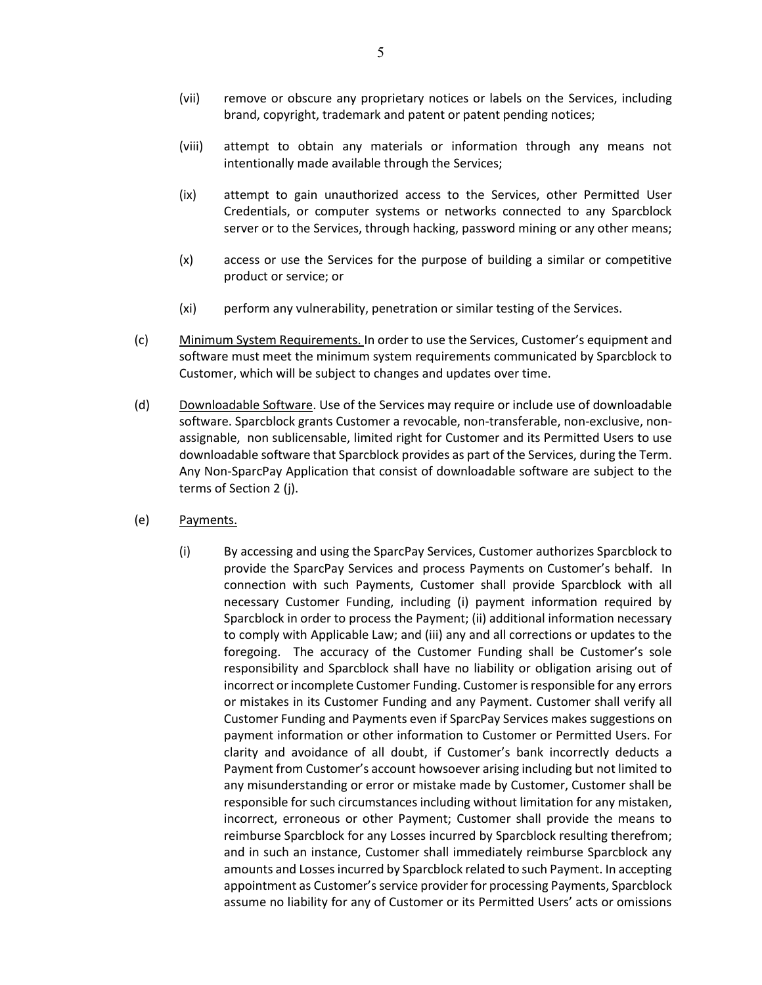- (vii) remove or obscure any proprietary notices or labels on the Services, including brand, copyright, trademark and patent or patent pending notices;
- (viii) attempt to obtain any materials or information through any means not intentionally made available through the Services;
- (ix) attempt to gain unauthorized access to the Services, other Permitted User Credentials, or computer systems or networks connected to any Sparcblock server or to the Services, through hacking, password mining or any other means;
- (x) access or use the Services for the purpose of building a similar or competitive product or service; or
- (xi) perform any vulnerability, penetration or similar testing of the Services.
- (c) Minimum System Requirements. In order to use the Services, Customer's equipment and software must meet the minimum system requirements communicated by Sparcblock to Customer, which will be subject to changes and updates over time.
- (d) Downloadable Software. Use of the Services may require or include use of downloadable software. Sparcblock grants Customer a revocable, non-transferable, non-exclusive, nonassignable, non sublicensable, limited right for Customer and its Permitted Users to use downloadable software that Sparcblock provides as part of the Services, during the Term. Any Non-SparcPay Application that consist of downloadable software are subject to the terms of Section 2 (j).
- (e) Payments.
	- (i) By accessing and using the SparcPay Services, Customer authorizes Sparcblock to provide the SparcPay Services and process Payments on Customer's behalf. In connection with such Payments, Customer shall provide Sparcblock with all necessary Customer Funding, including (i) payment information required by Sparcblock in order to process the Payment; (ii) additional information necessary to comply with Applicable Law; and (iii) any and all corrections or updates to the foregoing. The accuracy of the Customer Funding shall be Customer's sole responsibility and Sparcblock shall have no liability or obligation arising out of incorrect or incomplete Customer Funding. Customer is responsible for any errors or mistakes in its Customer Funding and any Payment. Customer shall verify all Customer Funding and Payments even if SparcPay Services makes suggestions on payment information or other information to Customer or Permitted Users. For clarity and avoidance of all doubt, if Customer's bank incorrectly deducts a Payment from Customer's account howsoever arising including but not limited to any misunderstanding or error or mistake made by Customer, Customer shall be responsible for such circumstances including without limitation for any mistaken, incorrect, erroneous or other Payment; Customer shall provide the means to reimburse Sparcblock for any Losses incurred by Sparcblock resulting therefrom; and in such an instance, Customer shall immediately reimburse Sparcblock any amounts and Losses incurred by Sparcblock related to such Payment. In accepting appointment as Customer's service provider for processing Payments, Sparcblock assume no liability for any of Customer or its Permitted Users' acts or omissions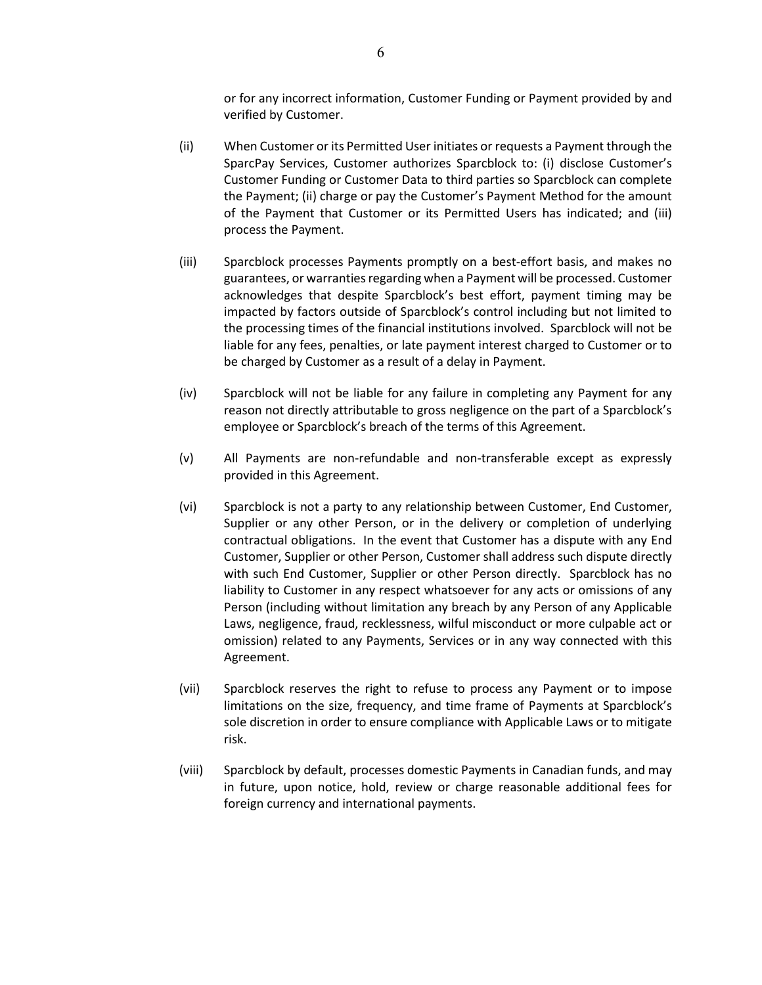or for any incorrect information, Customer Funding or Payment provided by and verified by Customer.

- (ii) When Customer or its Permitted User initiates or requests a Payment through the SparcPay Services, Customer authorizes Sparcblock to: (i) disclose Customer's Customer Funding or Customer Data to third parties so Sparcblock can complete the Payment; (ii) charge or pay the Customer's Payment Method for the amount of the Payment that Customer or its Permitted Users has indicated; and (iii) process the Payment.
- (iii) Sparcblock processes Payments promptly on a best-effort basis, and makes no guarantees, or warranties regarding when a Payment will be processed. Customer acknowledges that despite Sparcblock's best effort, payment timing may be impacted by factors outside of Sparcblock's control including but not limited to the processing times of the financial institutions involved. Sparcblock will not be liable for any fees, penalties, or late payment interest charged to Customer or to be charged by Customer as a result of a delay in Payment.
- (iv) Sparcblock will not be liable for any failure in completing any Payment for any reason not directly attributable to gross negligence on the part of a Sparcblock's employee or Sparcblock's breach of the terms of this Agreement.
- (v) All Payments are non-refundable and non-transferable except as expressly provided in this Agreement.
- (vi) Sparcblock is not a party to any relationship between Customer, End Customer, Supplier or any other Person, or in the delivery or completion of underlying contractual obligations. In the event that Customer has a dispute with any End Customer, Supplier or other Person, Customer shall address such dispute directly with such End Customer, Supplier or other Person directly. Sparcblock has no liability to Customer in any respect whatsoever for any acts or omissions of any Person (including without limitation any breach by any Person of any Applicable Laws, negligence, fraud, recklessness, wilful misconduct or more culpable act or omission) related to any Payments, Services or in any way connected with this Agreement.
- (vii) Sparcblock reserves the right to refuse to process any Payment or to impose limitations on the size, frequency, and time frame of Payments at Sparcblock's sole discretion in order to ensure compliance with Applicable Laws or to mitigate risk.
- (viii) Sparcblock by default, processes domestic Payments in Canadian funds, and may in future, upon notice, hold, review or charge reasonable additional fees for foreign currency and international payments.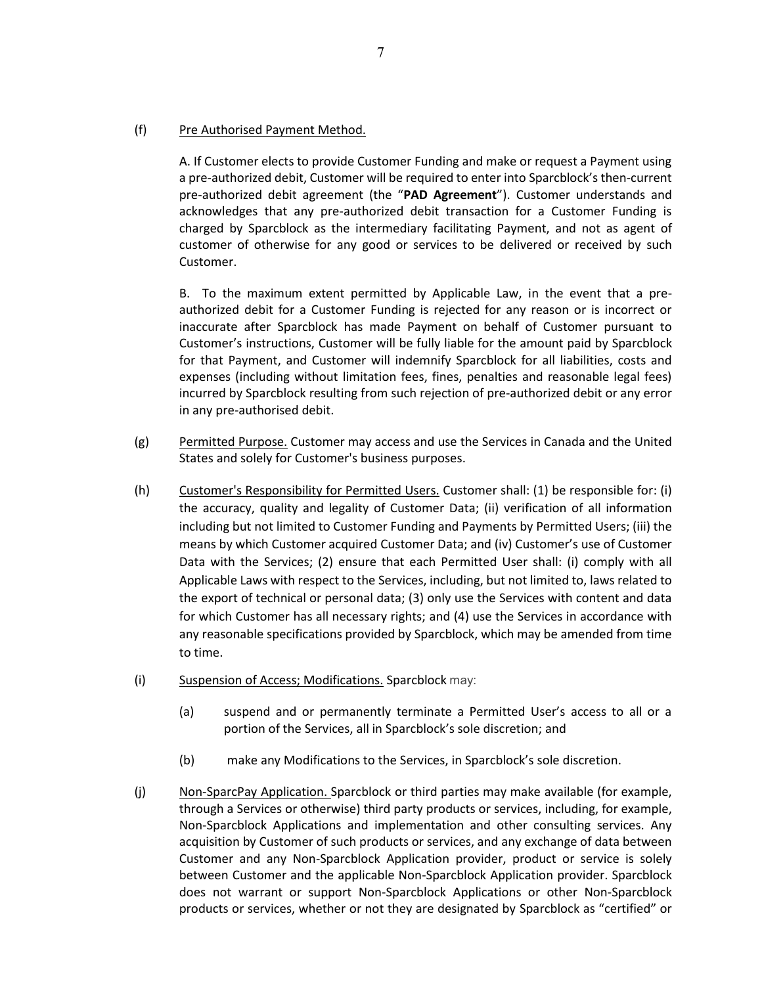## (f) Pre Authorised Payment Method.

A. If Customer elects to provide Customer Funding and make or request a Payment using a pre-authorized debit, Customer will be required to enter into Sparcblock's then-current pre-authorized debit agreement (the "**PAD Agreement**"). Customer understands and acknowledges that any pre-authorized debit transaction for a Customer Funding is charged by Sparcblock as the intermediary facilitating Payment, and not as agent of customer of otherwise for any good or services to be delivered or received by such Customer.

B. To the maximum extent permitted by Applicable Law, in the event that a preauthorized debit for a Customer Funding is rejected for any reason or is incorrect or inaccurate after Sparcblock has made Payment on behalf of Customer pursuant to Customer's instructions, Customer will be fully liable for the amount paid by Sparcblock for that Payment, and Customer will indemnify Sparcblock for all liabilities, costs and expenses (including without limitation fees, fines, penalties and reasonable legal fees) incurred by Sparcblock resulting from such rejection of pre-authorized debit or any error in any pre-authorised debit.

- (g) Permitted Purpose. Customer may access and use the Services in Canada and the United States and solely for Customer's business purposes.
- (h) Customer's Responsibility for Permitted Users. Customer shall: (1) be responsible for: (i) the accuracy, quality and legality of Customer Data; (ii) verification of all information including but not limited to Customer Funding and Payments by Permitted Users; (iii) the means by which Customer acquired Customer Data; and (iv) Customer's use of Customer Data with the Services; (2) ensure that each Permitted User shall: (i) comply with all Applicable Laws with respect to the Services, including, but not limited to, laws related to the export of technical or personal data; (3) only use the Services with content and data for which Customer has all necessary rights; and (4) use the Services in accordance with any reasonable specifications provided by Sparcblock, which may be amended from time to time.
- (i) Suspension of Access; Modifications. Sparcblock may:
	- (a) suspend and or permanently terminate a Permitted User's access to all or a portion of the Services, all in Sparcblock's sole discretion; and
	- (b) make any Modifications to the Services, in Sparcblock's sole discretion.
- (j) Non-SparcPay Application. Sparcblock or third parties may make available (for example, through a Services or otherwise) third party products or services, including, for example, Non-Sparcblock Applications and implementation and other consulting services. Any acquisition by Customer of such products or services, and any exchange of data between Customer and any Non-Sparcblock Application provider, product or service is solely between Customer and the applicable Non-Sparcblock Application provider. Sparcblock does not warrant or support Non-Sparcblock Applications or other Non-Sparcblock products or services, whether or not they are designated by Sparcblock as "certified" or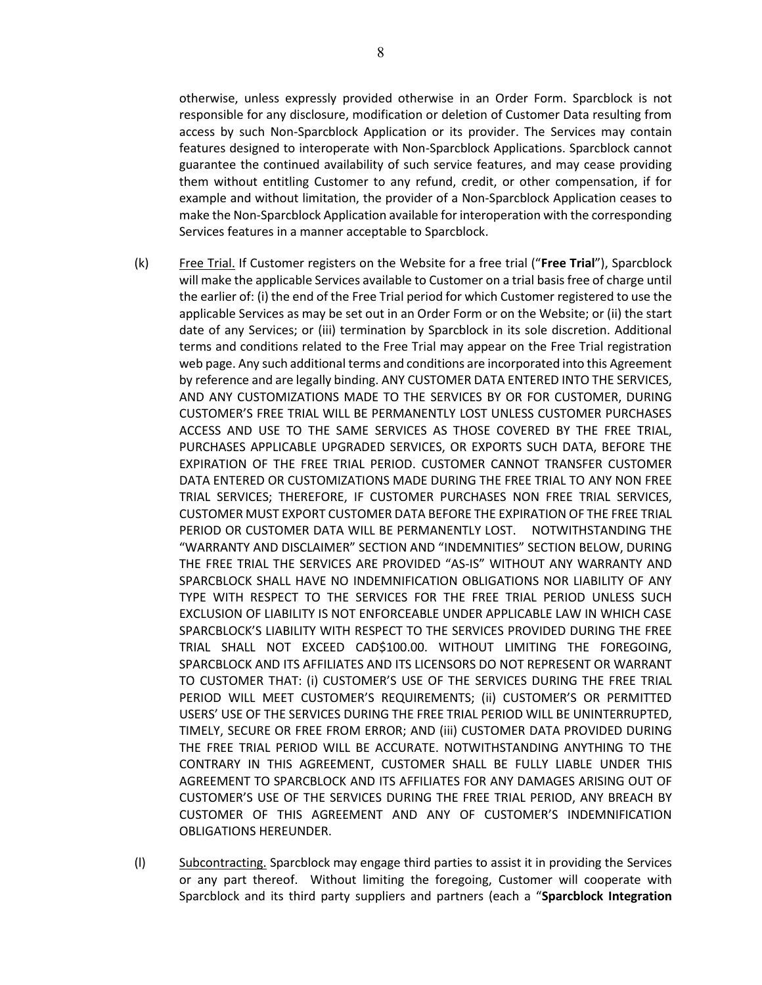otherwise, unless expressly provided otherwise in an Order Form. Sparcblock is not responsible for any disclosure, modification or deletion of Customer Data resulting from access by such Non-Sparcblock Application or its provider. The Services may contain features designed to interoperate with Non-Sparcblock Applications. Sparcblock cannot guarantee the continued availability of such service features, and may cease providing them without entitling Customer to any refund, credit, or other compensation, if for example and without limitation, the provider of a Non-Sparcblock Application ceases to make the Non-Sparcblock Application available for interoperation with the corresponding Services features in a manner acceptable to Sparcblock.

- (k) Free Trial. If Customer registers on the Website for a free trial ("**Free Trial**"), Sparcblock will make the applicable Services available to Customer on a trial basis free of charge until the earlier of: (i) the end of the Free Trial period for which Customer registered to use the applicable Services as may be set out in an Order Form or on the Website; or (ii) the start date of any Services; or (iii) termination by Sparcblock in its sole discretion. Additional terms and conditions related to the Free Trial may appear on the Free Trial registration web page. Any such additional terms and conditions are incorporated into this Agreement by reference and are legally binding. ANY CUSTOMER DATA ENTERED INTO THE SERVICES, AND ANY CUSTOMIZATIONS MADE TO THE SERVICES BY OR FOR CUSTOMER, DURING CUSTOMER'S FREE TRIAL WILL BE PERMANENTLY LOST UNLESS CUSTOMER PURCHASES ACCESS AND USE TO THE SAME SERVICES AS THOSE COVERED BY THE FREE TRIAL, PURCHASES APPLICABLE UPGRADED SERVICES, OR EXPORTS SUCH DATA, BEFORE THE EXPIRATION OF THE FREE TRIAL PERIOD. CUSTOMER CANNOT TRANSFER CUSTOMER DATA ENTERED OR CUSTOMIZATIONS MADE DURING THE FREE TRIAL TO ANY NON FREE TRIAL SERVICES; THEREFORE, IF CUSTOMER PURCHASES NON FREE TRIAL SERVICES, CUSTOMER MUST EXPORT CUSTOMER DATA BEFORE THE EXPIRATION OF THE FREE TRIAL PERIOD OR CUSTOMER DATA WILL BE PERMANENTLY LOST. NOTWITHSTANDING THE "WARRANTY AND DISCLAIMER" SECTION AND "INDEMNITIES" SECTION BELOW, DURING THE FREE TRIAL THE SERVICES ARE PROVIDED "AS-IS" WITHOUT ANY WARRANTY AND SPARCBLOCK SHALL HAVE NO INDEMNIFICATION OBLIGATIONS NOR LIABILITY OF ANY TYPE WITH RESPECT TO THE SERVICES FOR THE FREE TRIAL PERIOD UNLESS SUCH EXCLUSION OF LIABILITY IS NOT ENFORCEABLE UNDER APPLICABLE LAW IN WHICH CASE SPARCBLOCK'S LIABILITY WITH RESPECT TO THE SERVICES PROVIDED DURING THE FREE TRIAL SHALL NOT EXCEED CAD\$100.00. WITHOUT LIMITING THE FOREGOING, SPARCBLOCK AND ITS AFFILIATES AND ITS LICENSORS DO NOT REPRESENT OR WARRANT TO CUSTOMER THAT: (i) CUSTOMER'S USE OF THE SERVICES DURING THE FREE TRIAL PERIOD WILL MEET CUSTOMER'S REQUIREMENTS; (ii) CUSTOMER'S OR PERMITTED USERS' USE OF THE SERVICES DURING THE FREE TRIAL PERIOD WILL BE UNINTERRUPTED, TIMELY, SECURE OR FREE FROM ERROR; AND (iii) CUSTOMER DATA PROVIDED DURING THE FREE TRIAL PERIOD WILL BE ACCURATE. NOTWITHSTANDING ANYTHING TO THE CONTRARY IN THIS AGREEMENT, CUSTOMER SHALL BE FULLY LIABLE UNDER THIS AGREEMENT TO SPARCBLOCK AND ITS AFFILIATES FOR ANY DAMAGES ARISING OUT OF CUSTOMER'S USE OF THE SERVICES DURING THE FREE TRIAL PERIOD, ANY BREACH BY CUSTOMER OF THIS AGREEMENT AND ANY OF CUSTOMER'S INDEMNIFICATION OBLIGATIONS HEREUNDER.
- (l) Subcontracting. Sparcblock may engage third parties to assist it in providing the Services or any part thereof. Without limiting the foregoing, Customer will cooperate with Sparcblock and its third party suppliers and partners (each a "**Sparcblock Integration**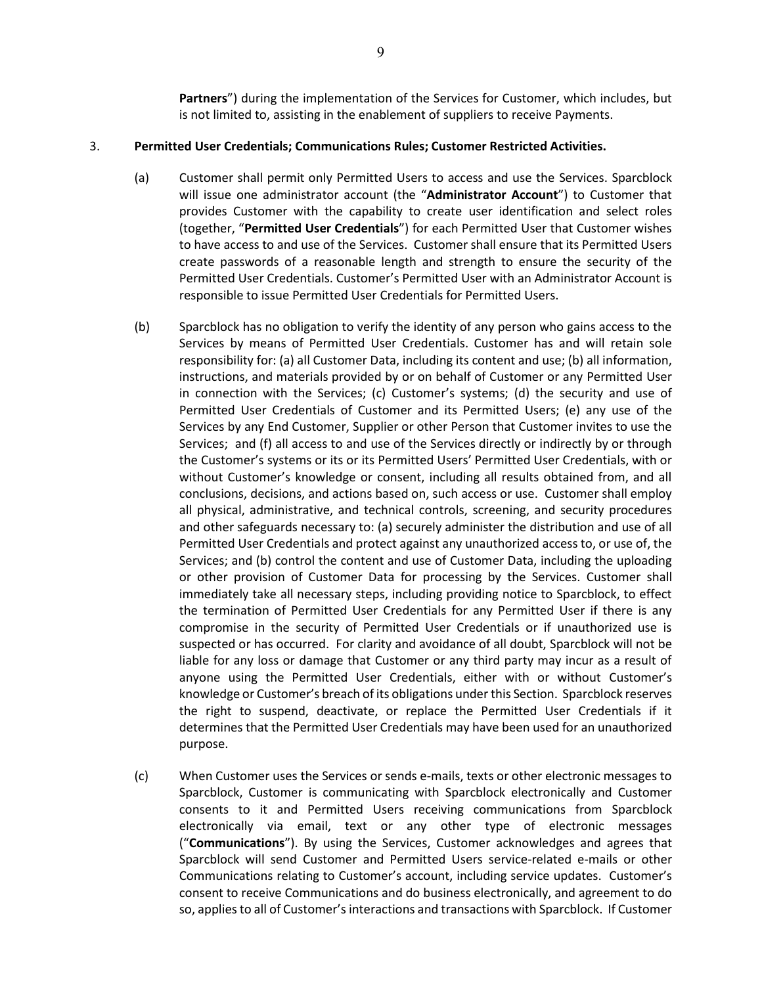**Partners**") during the implementation of the Services for Customer, which includes, but is not limited to, assisting in the enablement of suppliers to receive Payments.

## 3. **Permitted User Credentials; Communications Rules; Customer Restricted Activities.**

- (a) Customer shall permit only Permitted Users to access and use the Services. Sparcblock will issue one administrator account (the "**Administrator Account**") to Customer that provides Customer with the capability to create user identification and select roles (together, "**Permitted User Credentials**") for each Permitted User that Customer wishes to have access to and use of the Services. Customer shall ensure that its Permitted Users create passwords of a reasonable length and strength to ensure the security of the Permitted User Credentials. Customer's Permitted User with an Administrator Account is responsible to issue Permitted User Credentials for Permitted Users.
- (b) Sparcblock has no obligation to verify the identity of any person who gains access to the Services by means of Permitted User Credentials. Customer has and will retain sole responsibility for: (a) all Customer Data, including its content and use; (b) all information, instructions, and materials provided by or on behalf of Customer or any Permitted User in connection with the Services; (c) Customer's systems; (d) the security and use of Permitted User Credentials of Customer and its Permitted Users; (e) any use of the Services by any End Customer, Supplier or other Person that Customer invites to use the Services; and (f) all access to and use of the Services directly or indirectly by or through the Customer's systems or its or its Permitted Users' Permitted User Credentials, with or without Customer's knowledge or consent, including all results obtained from, and all conclusions, decisions, and actions based on, such access or use. Customer shall employ all physical, administrative, and technical controls, screening, and security procedures and other safeguards necessary to: (a) securely administer the distribution and use of all Permitted User Credentials and protect against any unauthorized access to, or use of, the Services; and (b) control the content and use of Customer Data, including the uploading or other provision of Customer Data for processing by the Services. Customer shall immediately take all necessary steps, including providing notice to Sparcblock, to effect the termination of Permitted User Credentials for any Permitted User if there is any compromise in the security of Permitted User Credentials or if unauthorized use is suspected or has occurred. For clarity and avoidance of all doubt, Sparcblock will not be liable for any loss or damage that Customer or any third party may incur as a result of anyone using the Permitted User Credentials, either with or without Customer's knowledge or Customer's breach of its obligations under this Section. Sparcblock reserves the right to suspend, deactivate, or replace the Permitted User Credentials if it determines that the Permitted User Credentials may have been used for an unauthorized purpose.
- (c) When Customer uses the Services or sends e-mails, texts or other electronic messages to Sparcblock, Customer is communicating with Sparcblock electronically and Customer consents to it and Permitted Users receiving communications from Sparcblock electronically via email, text or any other type of electronic messages ("**Communications**"). By using the Services, Customer acknowledges and agrees that Sparcblock will send Customer and Permitted Users service-related e-mails or other Communications relating to Customer's account, including service updates. Customer's consent to receive Communications and do business electronically, and agreement to do so, applies to all of Customer's interactions and transactions with Sparcblock. If Customer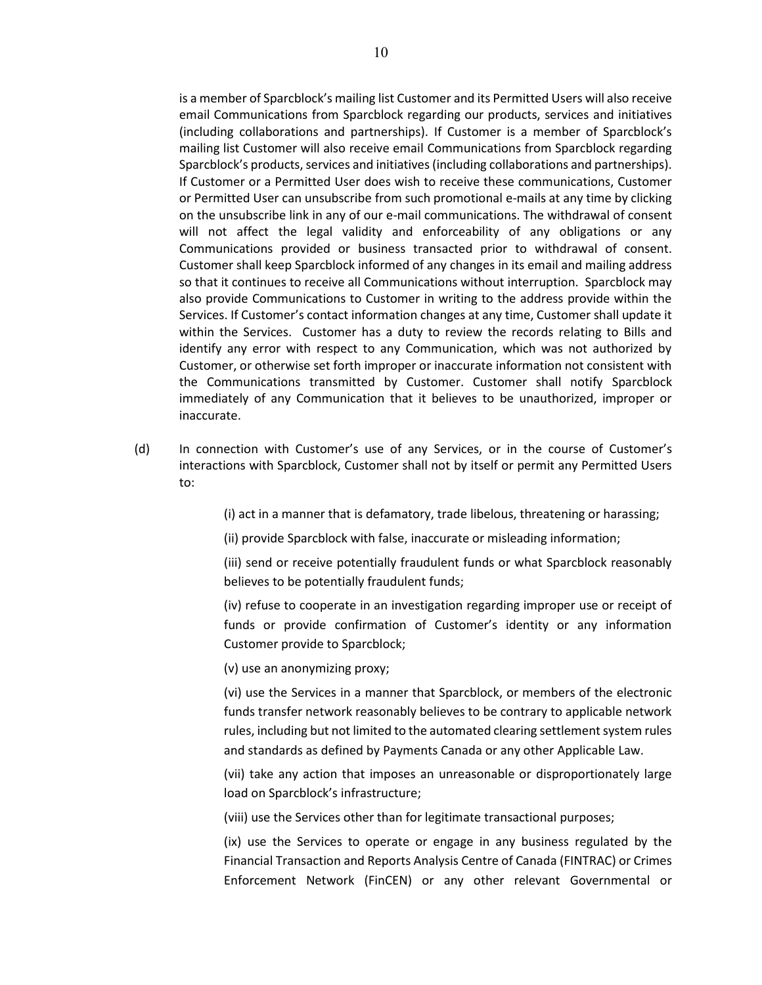is a member of Sparcblock's mailing list Customer and its Permitted Users will also receive email Communications from Sparcblock regarding our products, services and initiatives (including collaborations and partnerships). If Customer is a member of Sparcblock's mailing list Customer will also receive email Communications from Sparcblock regarding Sparcblock's products, services and initiatives (including collaborations and partnerships). If Customer or a Permitted User does wish to receive these communications, Customer or Permitted User can unsubscribe from such promotional e-mails at any time by clicking on the unsubscribe link in any of our e-mail communications. The withdrawal of consent will not affect the legal validity and enforceability of any obligations or any Communications provided or business transacted prior to withdrawal of consent. Customer shall keep Sparcblock informed of any changes in its email and mailing address so that it continues to receive all Communications without interruption. Sparcblock may also provide Communications to Customer in writing to the address provide within the Services. If Customer's contact information changes at any time, Customer shall update it within the Services. Customer has a duty to review the records relating to Bills and identify any error with respect to any Communication, which was not authorized by Customer, or otherwise set forth improper or inaccurate information not consistent with the Communications transmitted by Customer. Customer shall notify Sparcblock immediately of any Communication that it believes to be unauthorized, improper or inaccurate.

(d) In connection with Customer's use of any Services, or in the course of Customer's interactions with Sparcblock, Customer shall not by itself or permit any Permitted Users to:

(i) act in a manner that is defamatory, trade libelous, threatening or harassing;

(ii) provide Sparcblock with false, inaccurate or misleading information;

(iii) send or receive potentially fraudulent funds or what Sparcblock reasonably believes to be potentially fraudulent funds;

(iv) refuse to cooperate in an investigation regarding improper use or receipt of funds or provide confirmation of Customer's identity or any information Customer provide to Sparcblock;

(v) use an anonymizing proxy;

(vi) use the Services in a manner that Sparcblock, or members of the electronic funds transfer network reasonably believes to be contrary to applicable network rules, including but not limited to the automated clearing settlement system rules and standards as defined by Payments Canada or any other Applicable Law.

(vii) take any action that imposes an unreasonable or disproportionately large load on Sparcblock's infrastructure;

(viii) use the Services other than for legitimate transactional purposes;

(ix) use the Services to operate or engage in any business regulated by the Financial Transaction and Reports Analysis Centre of Canada (FINTRAC) or Crimes Enforcement Network (FinCEN) or any other relevant Governmental or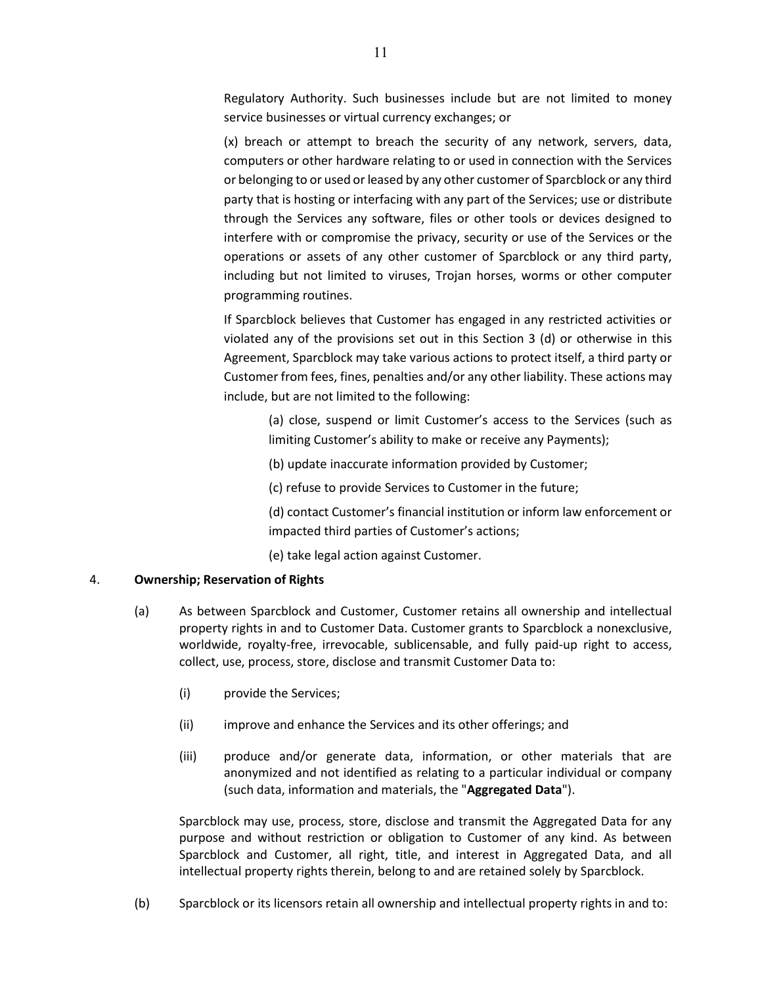Regulatory Authority. Such businesses include but are not limited to money service businesses or virtual currency exchanges; or

(x) breach or attempt to breach the security of any network, servers, data, computers or other hardware relating to or used in connection with the Services or belonging to or used or leased by any other customer of Sparcblock or any third party that is hosting or interfacing with any part of the Services; use or distribute through the Services any software, files or other tools or devices designed to interfere with or compromise the privacy, security or use of the Services or the operations or assets of any other customer of Sparcblock or any third party, including but not limited to viruses, Trojan horses, worms or other computer programming routines.

If Sparcblock believes that Customer has engaged in any restricted activities or violated any of the provisions set out in this Section 3 (d) or otherwise in this Agreement, Sparcblock may take various actions to protect itself, a third party or Customer from fees, fines, penalties and/or any other liability. These actions may include, but are not limited to the following:

> (a) close, suspend or limit Customer's access to the Services (such as limiting Customer's ability to make or receive any Payments);

(b) update inaccurate information provided by Customer;

(c) refuse to provide Services to Customer in the future;

(d) contact Customer's financial institution or inform law enforcement or impacted third parties of Customer's actions;

(e) take legal action against Customer.

### 4. **Ownership; Reservation of Rights**

- (a) As between Sparcblock and Customer, Customer retains all ownership and intellectual property rights in and to Customer Data. Customer grants to Sparcblock a nonexclusive, worldwide, royalty-free, irrevocable, sublicensable, and fully paid-up right to access, collect, use, process, store, disclose and transmit Customer Data to:
	- (i) provide the Services;
	- (ii) improve and enhance the Services and its other offerings; and
	- (iii) produce and/or generate data, information, or other materials that are anonymized and not identified as relating to a particular individual or company (such data, information and materials, the "**Aggregated Data**").

Sparcblock may use, process, store, disclose and transmit the Aggregated Data for any purpose and without restriction or obligation to Customer of any kind. As between Sparcblock and Customer, all right, title, and interest in Aggregated Data, and all intellectual property rights therein, belong to and are retained solely by Sparcblock.

(b) Sparcblock or its licensors retain all ownership and intellectual property rights in and to: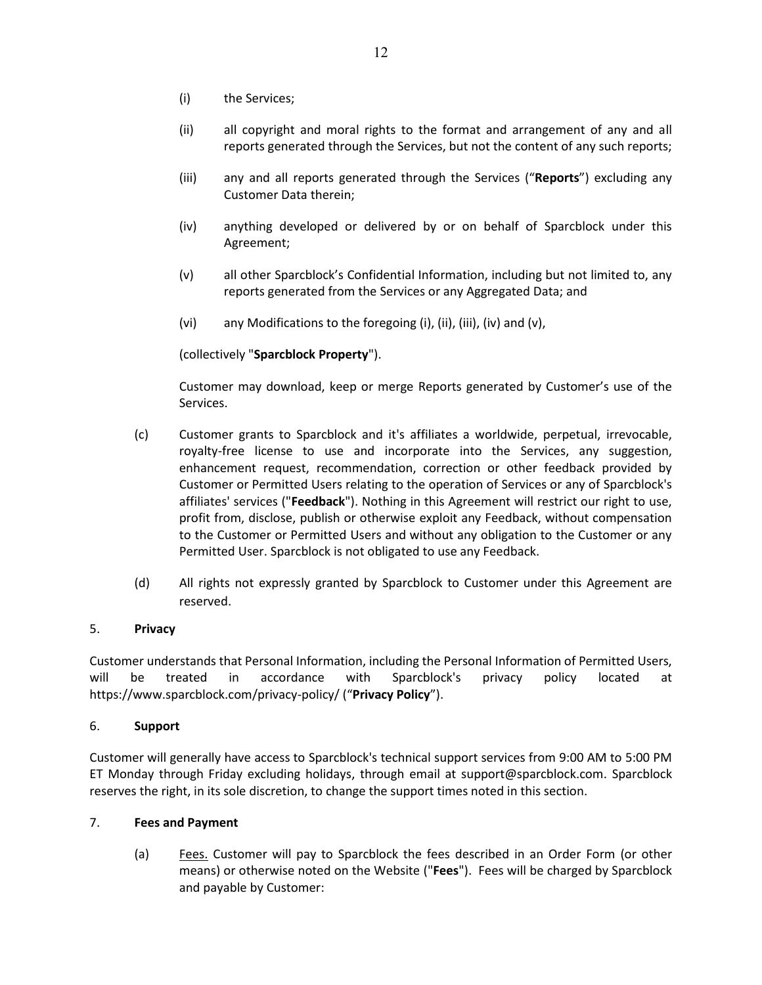- (i) the Services;
- (ii) all copyright and moral rights to the format and arrangement of any and all reports generated through the Services, but not the content of any such reports;
- (iii) any and all reports generated through the Services ("**Reports**") excluding any Customer Data therein;
- (iv) anything developed or delivered by or on behalf of Sparcblock under this Agreement;
- (v) all other Sparcblock's Confidential Information, including but not limited to, any reports generated from the Services or any Aggregated Data; and
- (vi) any Modifications to the foregoing (i), (ii), (iii), (iv) and (v),

# (collectively "**Sparcblock Property**").

Customer may download, keep or merge Reports generated by Customer's use of the Services.

- (c) Customer grants to Sparcblock and it's affiliates a worldwide, perpetual, irrevocable, royalty-free license to use and incorporate into the Services, any suggestion, enhancement request, recommendation, correction or other feedback provided by Customer or Permitted Users relating to the operation of Services or any of Sparcblock's affiliates' services ("**Feedback**"). Nothing in this Agreement will restrict our right to use, profit from, disclose, publish or otherwise exploit any Feedback, without compensation to the Customer or Permitted Users and without any obligation to the Customer or any Permitted User. Sparcblock is not obligated to use any Feedback.
- (d) All rights not expressly granted by Sparcblock to Customer under this Agreement are reserved.

# 5. **Privacy**

Customer understands that Personal Information, including the Personal Information of Permitted Users, will be treated in accordance with Sparcblock's privacy policy located at https://www.sparcblock.com/privacy-policy/ ("**Privacy Policy**").

# 6. **Support**

Customer will generally have access to Sparcblock's technical support services from 9:00 AM to 5:00 PM ET Monday through Friday excluding holidays, through email at support@sparcblock.com. Sparcblock reserves the right, in its sole discretion, to change the support times noted in this section.

# <span id="page-11-0"></span>7. **Fees and Payment**

(a) Fees. Customer will pay to Sparcblock the fees described in an Order Form (or other means) or otherwise noted on the Website ("**Fees**"). Fees will be charged by Sparcblock and payable by Customer: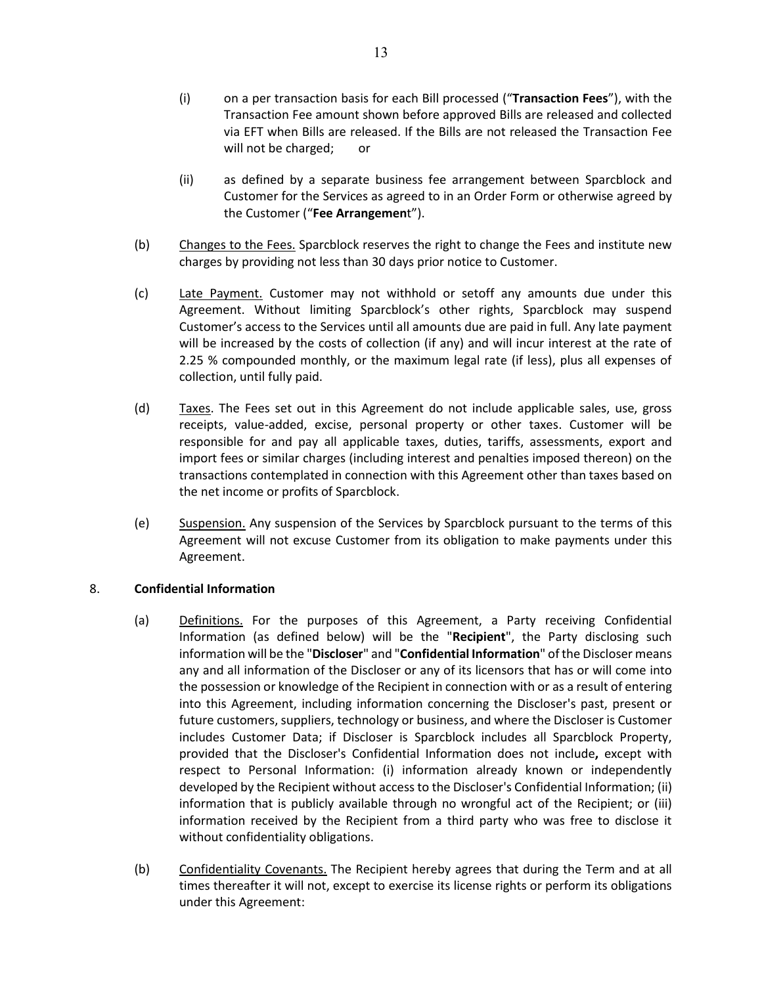- (i) on a per transaction basis for each Bill processed ("**Transaction Fees**"), with the Transaction Fee amount shown before approved Bills are released and collected via EFT when Bills are released. If the Bills are not released the Transaction Fee will not be charged; or
- (ii) as defined by a separate business fee arrangement between Sparcblock and Customer for the Services as agreed to in an Order Form or otherwise agreed by the Customer ("**Fee Arrangemen**t").
- (b) Changes to the Fees. Sparcblock reserves the right to change the Fees and institute new charges by providing not less than 30 days prior notice to Customer.
- (c) Late Payment. Customer may not withhold or setoff any amounts due under this Agreement. Without limiting Sparcblock's other rights, Sparcblock may suspend Customer's access to the Services until all amounts due are paid in full. Any late payment will be increased by the costs of collection (if any) and will incur interest at the rate of 2.25 % compounded monthly, or the maximum legal rate (if less), plus all expenses of collection, until fully paid.
- (d) Taxes. The Fees set out in this Agreement do not include applicable sales, use, gross receipts, value-added, excise, personal property or other taxes. Customer will be responsible for and pay all applicable taxes, duties, tariffs, assessments, export and import fees or similar charges (including interest and penalties imposed thereon) on the transactions contemplated in connection with this Agreement other than taxes based on the net income or profits of Sparcblock.
- (e) Suspension. Any suspension of the Services by Sparcblock pursuant to the terms of this Agreement will not excuse Customer from its obligation to make payments under this Agreement.

# <span id="page-12-0"></span>8. **Confidential Information**

- (a) Definitions. For the purposes of this Agreement, a Party receiving Confidential Information (as defined below) will be the "**Recipient**", the Party disclosing such information will be the "**Discloser**" and "**Confidential Information**" of the Discloser means any and all information of the Discloser or any of its licensors that has or will come into the possession or knowledge of the Recipient in connection with or as a result of entering into this Agreement, including information concerning the Discloser's past, present or future customers, suppliers, technology or business, and where the Discloser is Customer includes Customer Data; if Discloser is Sparcblock includes all Sparcblock Property, provided that the Discloser's Confidential Information does not include**,** except with respect to Personal Information: (i) information already known or independently developed by the Recipient without access to the Discloser's Confidential Information; (ii) information that is publicly available through no wrongful act of the Recipient; or (iii) information received by the Recipient from a third party who was free to disclose it without confidentiality obligations.
- (b) Confidentiality Covenants. The Recipient hereby agrees that during the Term and at all times thereafter it will not, except to exercise its license rights or perform its obligations under this Agreement: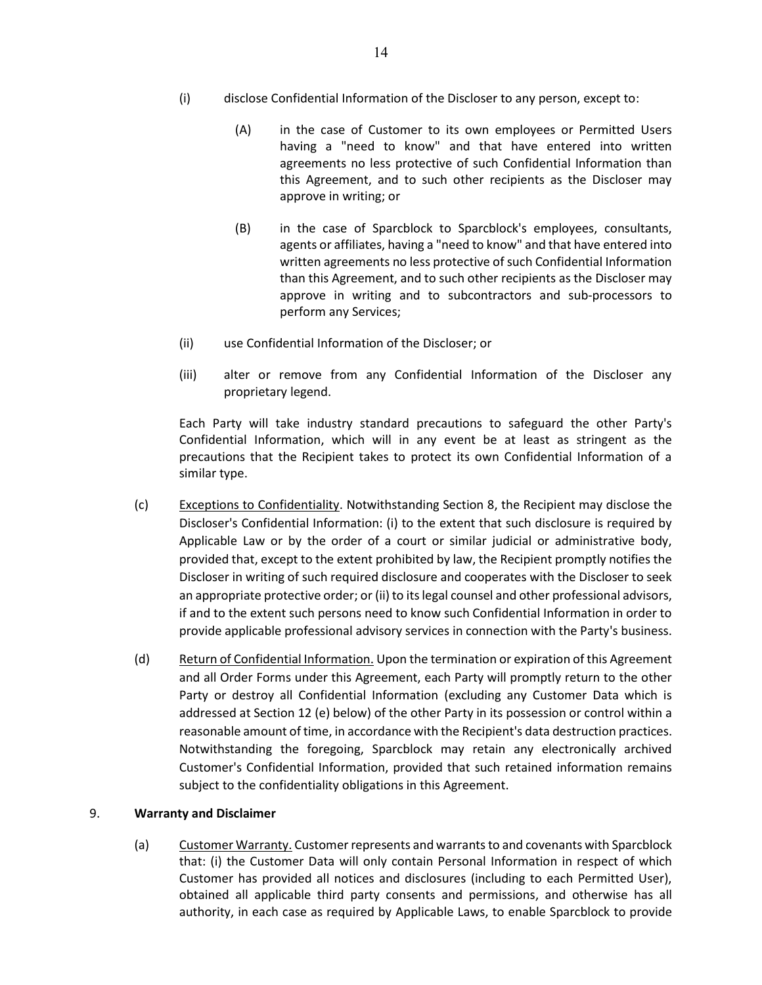- (i) disclose Confidential Information of the Discloser to any person, except to:
	- (A) in the case of Customer to its own employees or Permitted Users having a "need to know" and that have entered into written agreements no less protective of such Confidential Information than this Agreement, and to such other recipients as the Discloser may approve in writing; or
	- (B) in the case of Sparcblock to Sparcblock's employees, consultants, agents or affiliates, having a "need to know" and that have entered into written agreements no less protective of such Confidential Information than this Agreement, and to such other recipients as the Discloser may approve in writing and to subcontractors and sub-processors to perform any Services;
- (ii) use Confidential Information of the Discloser; or
- (iii) alter or remove from any Confidential Information of the Discloser any proprietary legend.

Each Party will take industry standard precautions to safeguard the other Party's Confidential Information, which will in any event be at least as stringent as the precautions that the Recipient takes to protect its own Confidential Information of a similar type.

- (c) Exceptions to Confidentiality. Notwithstanding Section [8,](#page-12-0) the Recipient may disclose the Discloser's Confidential Information: (i) to the extent that such disclosure is required by Applicable Law or by the order of a court or similar judicial or administrative body, provided that, except to the extent prohibited by law, the Recipient promptly notifies the Discloser in writing of such required disclosure and cooperates with the Discloser to seek an appropriate protective order; or (ii) to its legal counsel and other professional advisors, if and to the extent such persons need to know such Confidential Information in order to provide applicable professional advisory services in connection with the Party's business.
- (d) Return of Confidential Information. Upon the termination or expiration of this Agreement and all Order Forms under this Agreement, each Party will promptly return to the other Party or destroy all Confidential Information (excluding any Customer Data which is addressed at Section 12 (e) below) of the other Party in its possession or control within a reasonable amount of time, in accordance with the Recipient's data destruction practices. Notwithstanding the foregoing, Sparcblock may retain any electronically archived Customer's Confidential Information, provided that such retained information remains subject to the confidentiality obligations in this Agreement.

# <span id="page-13-0"></span>9. **Warranty and Disclaimer**

(a) Customer Warranty. Customer represents and warrants to and covenants with Sparcblock that: (i) the Customer Data will only contain Personal Information in respect of which Customer has provided all notices and disclosures (including to each Permitted User), obtained all applicable third party consents and permissions, and otherwise has all authority, in each case as required by Applicable Laws, to enable Sparcblock to provide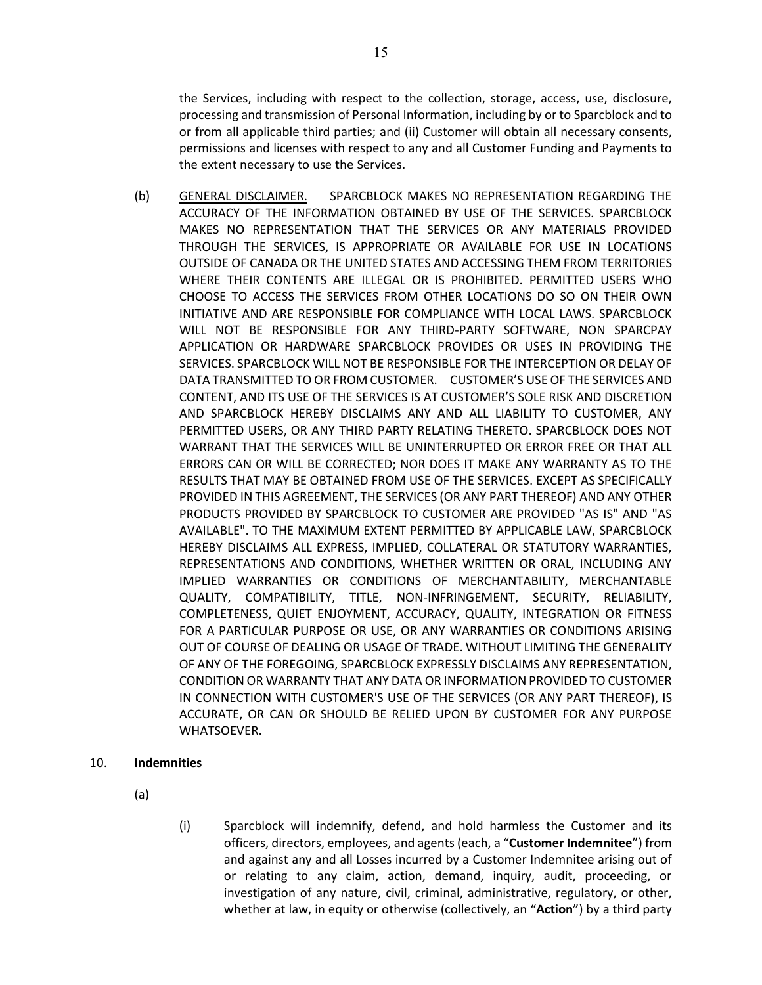the Services, including with respect to the collection, storage, access, use, disclosure, processing and transmission of Personal Information, including by or to Sparcblock and to or from all applicable third parties; and (ii) Customer will obtain all necessary consents, permissions and licenses with respect to any and all Customer Funding and Payments to the extent necessary to use the Services.

(b) GENERAL DISCLAIMER. SPARCBLOCK MAKES NO REPRESENTATION REGARDING THE ACCURACY OF THE INFORMATION OBTAINED BY USE OF THE SERVICES. SPARCBLOCK MAKES NO REPRESENTATION THAT THE SERVICES OR ANY MATERIALS PROVIDED THROUGH THE SERVICES, IS APPROPRIATE OR AVAILABLE FOR USE IN LOCATIONS OUTSIDE OF CANADA OR THE UNITED STATES AND ACCESSING THEM FROM TERRITORIES WHERE THEIR CONTENTS ARE ILLEGAL OR IS PROHIBITED. PERMITTED USERS WHO CHOOSE TO ACCESS THE SERVICES FROM OTHER LOCATIONS DO SO ON THEIR OWN INITIATIVE AND ARE RESPONSIBLE FOR COMPLIANCE WITH LOCAL LAWS. SPARCBLOCK WILL NOT BE RESPONSIBLE FOR ANY THIRD-PARTY SOFTWARE, NON SPARCPAY APPLICATION OR HARDWARE SPARCBLOCK PROVIDES OR USES IN PROVIDING THE SERVICES. SPARCBLOCK WILL NOT BE RESPONSIBLE FOR THE INTERCEPTION OR DELAY OF DATA TRANSMITTED TO OR FROM CUSTOMER. CUSTOMER'S USE OF THE SERVICES AND CONTENT, AND ITS USE OF THE SERVICES IS AT CUSTOMER'S SOLE RISK AND DISCRETION AND SPARCBLOCK HEREBY DISCLAIMS ANY AND ALL LIABILITY TO CUSTOMER, ANY PERMITTED USERS, OR ANY THIRD PARTY RELATING THERETO. SPARCBLOCK DOES NOT WARRANT THAT THE SERVICES WILL BE UNINTERRUPTED OR ERROR FREE OR THAT ALL ERRORS CAN OR WILL BE CORRECTED; NOR DOES IT MAKE ANY WARRANTY AS TO THE RESULTS THAT MAY BE OBTAINED FROM USE OF THE SERVICES. EXCEPT AS SPECIFICALLY PROVIDED IN THIS AGREEMENT, THE SERVICES (OR ANY PART THEREOF) AND ANY OTHER PRODUCTS PROVIDED BY SPARCBLOCK TO CUSTOMER ARE PROVIDED "AS IS" AND "AS AVAILABLE". TO THE MAXIMUM EXTENT PERMITTED BY APPLICABLE LAW, SPARCBLOCK HEREBY DISCLAIMS ALL EXPRESS, IMPLIED, COLLATERAL OR STATUTORY WARRANTIES, REPRESENTATIONS AND CONDITIONS, WHETHER WRITTEN OR ORAL, INCLUDING ANY IMPLIED WARRANTIES OR CONDITIONS OF MERCHANTABILITY, MERCHANTABLE QUALITY, COMPATIBILITY, TITLE, NON-INFRINGEMENT, SECURITY, RELIABILITY, COMPLETENESS, QUIET ENJOYMENT, ACCURACY, QUALITY, INTEGRATION OR FITNESS FOR A PARTICULAR PURPOSE OR USE, OR ANY WARRANTIES OR CONDITIONS ARISING OUT OF COURSE OF DEALING OR USAGE OF TRADE. WITHOUT LIMITING THE GENERALITY OF ANY OF THE FOREGOING, SPARCBLOCK EXPRESSLY DISCLAIMS ANY REPRESENTATION, CONDITION OR WARRANTY THAT ANY DATA OR INFORMATION PROVIDED TO CUSTOMER IN CONNECTION WITH CUSTOMER'S USE OF THE SERVICES (OR ANY PART THEREOF), IS ACCURATE, OR CAN OR SHOULD BE RELIED UPON BY CUSTOMER FOR ANY PURPOSE WHATSOEVER.

### 10. **Indemnities**

- (a)
- (i) Sparcblock will indemnify, defend, and hold harmless the Customer and its officers, directors, employees, and agents (each, a "**Customer Indemnitee**") from and against any and all Losses incurred by a Customer Indemnitee arising out of or relating to any claim, action, demand, inquiry, audit, proceeding, or investigation of any nature, civil, criminal, administrative, regulatory, or other, whether at law, in equity or otherwise (collectively, an "**Action**") by a third party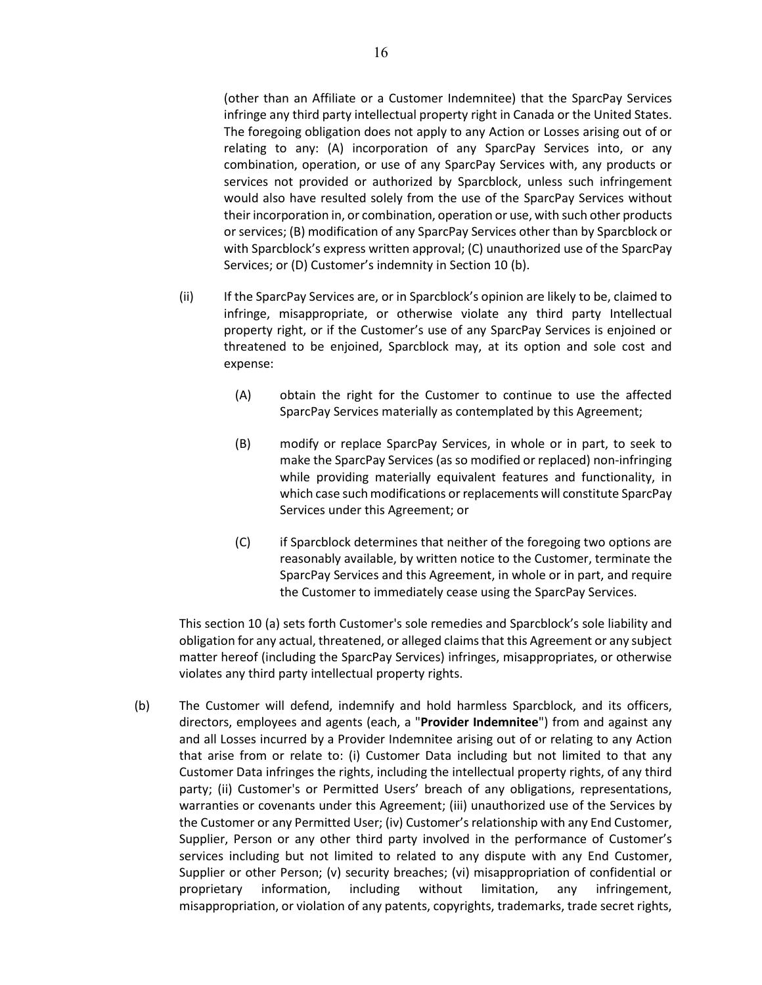(other than an Affiliate or a Customer Indemnitee) that the SparcPay Services infringe any third party intellectual property right in Canada or the United States. The foregoing obligation does not apply to any Action or Losses arising out of or relating to any: (A) incorporation of any SparcPay Services into, or any combination, operation, or use of any SparcPay Services with, any products or services not provided or authorized by Sparcblock, unless such infringement would also have resulted solely from the use of the SparcPay Services without their incorporation in, or combination, operation or use, with such other products or services; (B) modification of any SparcPay Services other than by Sparcblock or with Sparcblock's express written approval; (C) unauthorized use of the SparcPay Services; or (D) Customer's indemnity in Section 10 (b).

- (ii) If the SparcPay Services are, or in Sparcblock's opinion are likely to be, claimed to infringe, misappropriate, or otherwise violate any third party Intellectual property right, or if the Customer's use of any SparcPay Services is enjoined or threatened to be enjoined, Sparcblock may, at its option and sole cost and expense:
	- (A) obtain the right for the Customer to continue to use the affected SparcPay Services materially as contemplated by this Agreement;
	- (B) modify or replace SparcPay Services, in whole or in part, to seek to make the SparcPay Services (as so modified or replaced) non-infringing while providing materially equivalent features and functionality, in which case such modifications or replacements will constitute SparcPay Services under this Agreement; or
	- (C) if Sparcblock determines that neither of the foregoing two options are reasonably available, by written notice to the Customer, terminate the SparcPay Services and this Agreement, in whole or in part, and require the Customer to immediately cease using the SparcPay Services.

This section 10 (a) sets forth Customer's sole remedies and Sparcblock's sole liability and obligation for any actual, threatened, or alleged claims that this Agreement or any subject matter hereof (including the SparcPay Services) infringes, misappropriates, or otherwise violates any third party intellectual property rights.

(b) The Customer will defend, indemnify and hold harmless Sparcblock, and its officers, directors, employees and agents (each, a "**Provider Indemnitee**") from and against any and all Losses incurred by a Provider Indemnitee arising out of or relating to any Action that arise from or relate to: (i) Customer Data including but not limited to that any Customer Data infringes the rights, including the intellectual property rights, of any third party; (ii) Customer's or Permitted Users' breach of any obligations, representations, warranties or covenants under this Agreement; (iii) unauthorized use of the Services by the Customer or any Permitted User; (iv) Customer's relationship with any End Customer, Supplier, Person or any other third party involved in the performance of Customer's services including but not limited to related to any dispute with any End Customer, Supplier or other Person; (v) security breaches; (vi) misappropriation of confidential or proprietary information, including without limitation, any infringement, misappropriation, or violation of any patents, copyrights, trademarks, trade secret rights,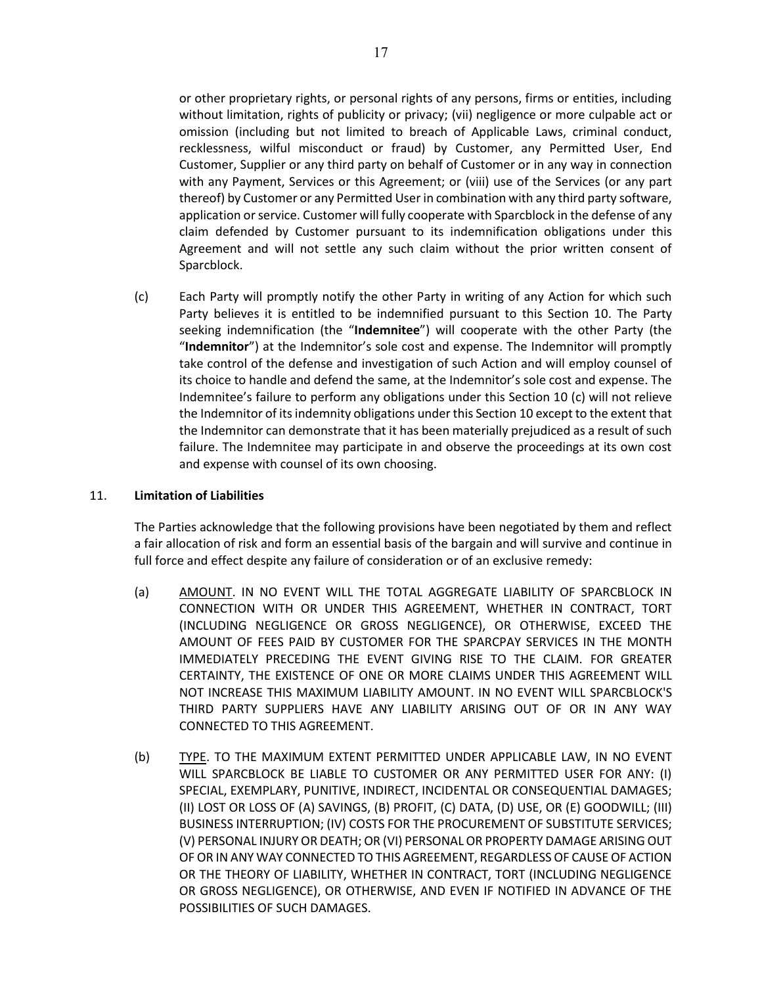or other proprietary rights, or personal rights of any persons, firms or entities, including without limitation, rights of publicity or privacy; (vii) negligence or more culpable act or omission (including but not limited to breach of Applicable Laws, criminal conduct, recklessness, wilful misconduct or fraud) by Customer, any Permitted User, End Customer, Supplier or any third party on behalf of Customer or in any way in connection with any Payment, Services or this Agreement; or (viii) use of the Services (or any part thereof) by Customer or any Permitted User in combination with any third party software, application or service. Customer will fully cooperate with Sparcblock in the defense of any claim defended by Customer pursuant to its indemnification obligations under this Agreement and will not settle any such claim without the prior written consent of Sparcblock.

(c) Each Party will promptly notify the other Party in writing of any Action for which such Party believes it is entitled to be indemnified pursuant to this Section 10. The Party seeking indemnification (the "**Indemnitee**") will cooperate with the other Party (the "**Indemnitor**") at the Indemnitor's sole cost and expense. The Indemnitor will promptly take control of the defense and investigation of such Action and will employ counsel of its choice to handle and defend the same, at the Indemnitor's sole cost and expense. The Indemnitee's failure to perform any obligations under this Section 10 (c) will not relieve the Indemnitor of its indemnity obligations under this Section 10 except to the extent that the Indemnitor can demonstrate that it has been materially prejudiced as a result of such failure. The Indemnitee may participate in and observe the proceedings at its own cost and expense with counsel of its own choosing.

# <span id="page-16-0"></span>11. **Limitation of Liabilities**

The Parties acknowledge that the following provisions have been negotiated by them and reflect a fair allocation of risk and form an essential basis of the bargain and will survive and continue in full force and effect despite any failure of consideration or of an exclusive remedy:

- (a) AMOUNT. IN NO EVENT WILL THE TOTAL AGGREGATE LIABILITY OF SPARCBLOCK IN CONNECTION WITH OR UNDER THIS AGREEMENT, WHETHER IN CONTRACT, TORT (INCLUDING NEGLIGENCE OR GROSS NEGLIGENCE), OR OTHERWISE, EXCEED THE AMOUNT OF FEES PAID BY CUSTOMER FOR THE SPARCPAY SERVICES IN THE MONTH IMMEDIATELY PRECEDING THE EVENT GIVING RISE TO THE CLAIM. FOR GREATER CERTAINTY, THE EXISTENCE OF ONE OR MORE CLAIMS UNDER THIS AGREEMENT WILL NOT INCREASE THIS MAXIMUM LIABILITY AMOUNT. IN NO EVENT WILL SPARCBLOCK'S THIRD PARTY SUPPLIERS HAVE ANY LIABILITY ARISING OUT OF OR IN ANY WAY CONNECTED TO THIS AGREEMENT.
- (b) TYPE. TO THE MAXIMUM EXTENT PERMITTED UNDER APPLICABLE LAW, IN NO EVENT WILL SPARCBLOCK BE LIABLE TO CUSTOMER OR ANY PERMITTED USER FOR ANY: (I) SPECIAL, EXEMPLARY, PUNITIVE, INDIRECT, INCIDENTAL OR CONSEQUENTIAL DAMAGES; (II) LOST OR LOSS OF (A) SAVINGS, (B) PROFIT, (C) DATA, (D) USE, OR (E) GOODWILL; (III) BUSINESS INTERRUPTION; (IV) COSTS FOR THE PROCUREMENT OF SUBSTITUTE SERVICES; (V) PERSONAL INJURY OR DEATH; OR (VI) PERSONAL OR PROPERTY DAMAGE ARISING OUT OF OR IN ANY WAY CONNECTED TO THIS AGREEMENT, REGARDLESS OF CAUSE OF ACTION OR THE THEORY OF LIABILITY, WHETHER IN CONTRACT, TORT (INCLUDING NEGLIGENCE OR GROSS NEGLIGENCE), OR OTHERWISE, AND EVEN IF NOTIFIED IN ADVANCE OF THE POSSIBILITIES OF SUCH DAMAGES.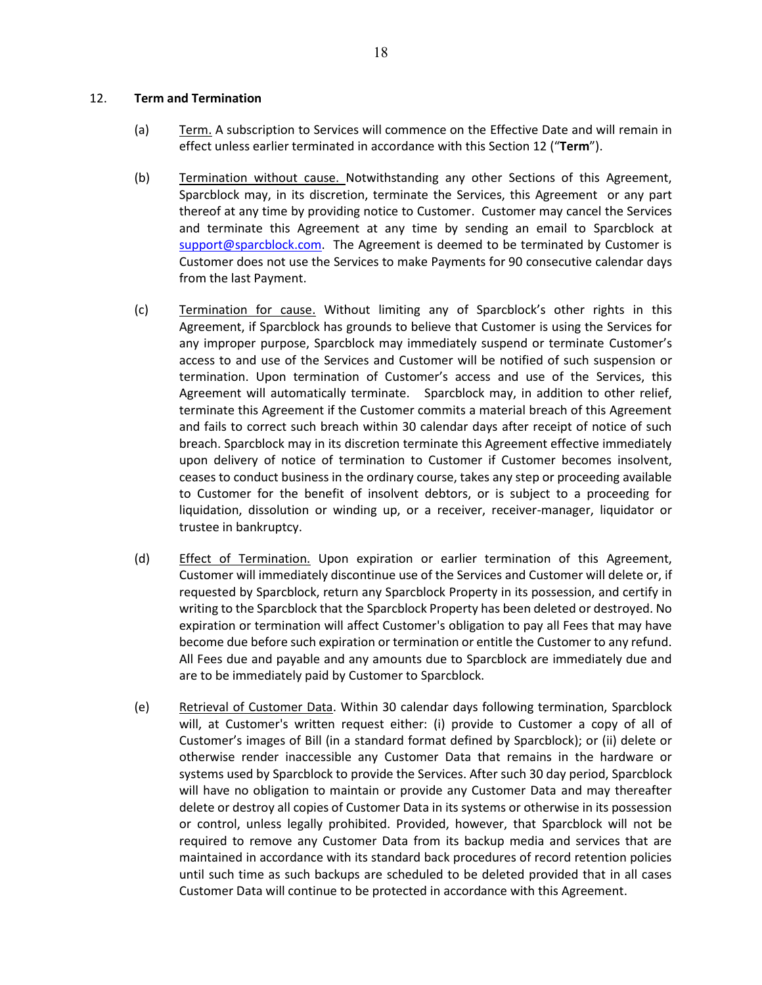#### 12. **Term and Termination**

- (a) Term. A subscription to Services will commence on the Effective Date and will remain in effect unless earlier terminated in accordance with this Section 12 ("**Term**").
- (b) Termination without cause. Notwithstanding any other Sections of this Agreement, Sparcblock may, in its discretion, terminate the Services, this Agreement or any part thereof at any time by providing notice to Customer. Customer may cancel the Services and terminate this Agreement at any time by sending an email to Sparcblock at [support@sparcblock.com.](mailto:support@sparcblock.com) The Agreement is deemed to be terminated by Customer is Customer does not use the Services to make Payments for 90 consecutive calendar days from the last Payment.
- (c) Termination for cause. Without limiting any of Sparcblock's other rights in this Agreement, if Sparcblock has grounds to believe that Customer is using the Services for any improper purpose, Sparcblock may immediately suspend or terminate Customer's access to and use of the Services and Customer will be notified of such suspension or termination. Upon termination of Customer's access and use of the Services, this Agreement will automatically terminate. Sparcblock may, in addition to other relief, terminate this Agreement if the Customer commits a material breach of this Agreement and fails to correct such breach within 30 calendar days after receipt of notice of such breach. Sparcblock may in its discretion terminate this Agreement effective immediately upon delivery of notice of termination to Customer if Customer becomes insolvent, ceases to conduct business in the ordinary course, takes any step or proceeding available to Customer for the benefit of insolvent debtors, or is subject to a proceeding for liquidation, dissolution or winding up, or a receiver, receiver-manager, liquidator or trustee in bankruptcy.
- (d) Effect of Termination. Upon expiration or earlier termination of this Agreement, Customer will immediately discontinue use of the Services and Customer will delete or, if requested by Sparcblock, return any Sparcblock Property in its possession, and certify in writing to the Sparcblock that the Sparcblock Property has been deleted or destroyed. No expiration or termination will affect Customer's obligation to pay all Fees that may have become due before such expiration or termination or entitle the Customer to any refund. All Fees due and payable and any amounts due to Sparcblock are immediately due and are to be immediately paid by Customer to Sparcblock.
- (e) Retrieval of Customer Data. Within 30 calendar days following termination, Sparcblock will, at Customer's written request either: (i) provide to Customer a copy of all of Customer's images of Bill (in a standard format defined by Sparcblock); or (ii) delete or otherwise render inaccessible any Customer Data that remains in the hardware or systems used by Sparcblock to provide the Services. After such 30 day period, Sparcblock will have no obligation to maintain or provide any Customer Data and may thereafter delete or destroy all copies of Customer Data in its systems or otherwise in its possession or control, unless legally prohibited. Provided, however, that Sparcblock will not be required to remove any Customer Data from its backup media and services that are maintained in accordance with its standard back procedures of record retention policies until such time as such backups are scheduled to be deleted provided that in all cases Customer Data will continue to be protected in accordance with this Agreement.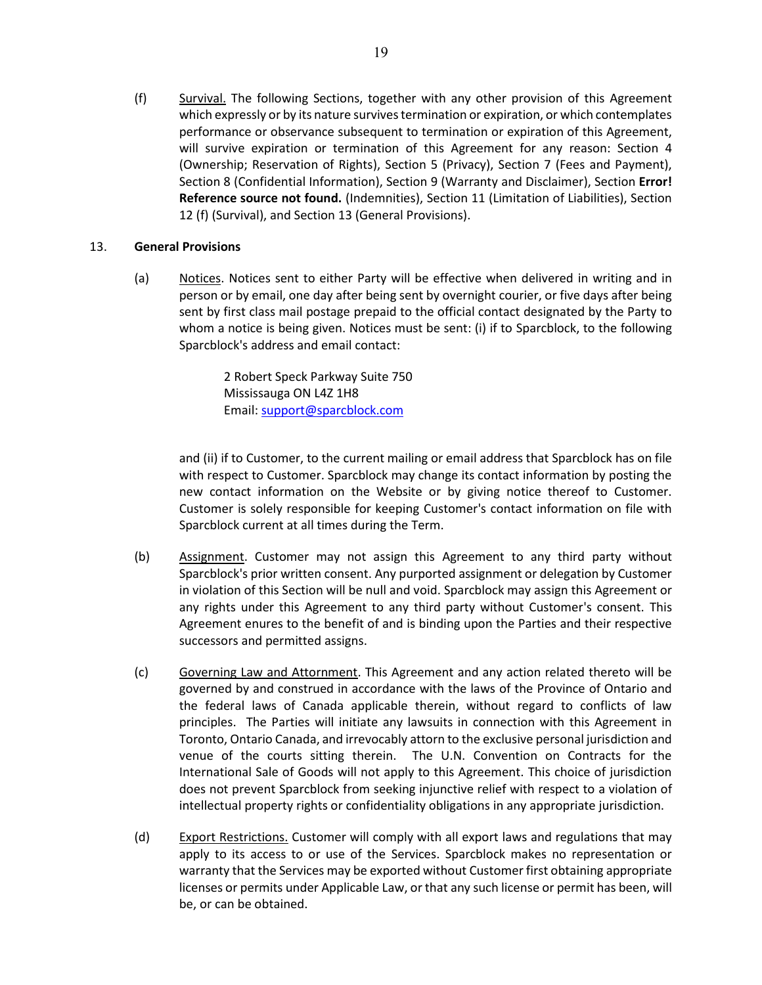(f) Survival. The following Sections, together with any other provision of this Agreement which expressly or by its nature survives termination or expiration, or which contemplates performance or observance subsequent to termination or expiration of this Agreement, will survive expiration or termination of this Agreement for any reason: Section 4 (Ownership; Reservation of Rights), Section 5 (Privacy), Section [7](#page-11-0) (Fees and Payment), Sectio[n 8](#page-12-0) (Confidential Information), Section [9](#page-13-0) (Warranty and Disclaimer), Section **Error! Reference source not found.** (Indemnities), Section [11](#page-16-0) (Limitation of Liabilities), Section 12 (f) (Survival), and Section [13](#page-18-0) (General Provisions).

# <span id="page-18-0"></span>13. **General Provisions**

(a) Motices. Notices sent to either Party will be effective when delivered in writing and in person or by email, one day after being sent by overnight courier, or five days after being sent by first class mail postage prepaid to the official contact designated by the Party to whom a notice is being given. Notices must be sent: (i) if to Sparcblock, to the following Sparcblock's address and email contact:

> 2 Robert Speck Parkway Suite 750 Mississauga ON L4Z 1H8 Email: [support@sparcblock.com](mailto:support@sparcblock.com)

and (ii) if to Customer, to the current mailing or email address that Sparcblock has on file with respect to Customer. Sparcblock may change its contact information by posting the new contact information on the Website or by giving notice thereof to Customer. Customer is solely responsible for keeping Customer's contact information on file with Sparcblock current at all times during the Term.

- (b) Assignment. Customer may not assign this Agreement to any third party without Sparcblock's prior written consent. Any purported assignment or delegation by Customer in violation of this Section will be null and void. Sparcblock may assign this Agreement or any rights under this Agreement to any third party without Customer's consent. This Agreement enures to the benefit of and is binding upon the Parties and their respective successors and permitted assigns.
- (c) Governing Law and Attornment. This Agreement and any action related thereto will be governed by and construed in accordance with the laws of the Province of Ontario and the federal laws of Canada applicable therein, without regard to conflicts of law principles. The Parties will initiate any lawsuits in connection with this Agreement in Toronto, Ontario Canada, and irrevocably attorn to the exclusive personal jurisdiction and venue of the courts sitting therein. The U.N. Convention on Contracts for the International Sale of Goods will not apply to this Agreement. This choice of jurisdiction does not prevent Sparcblock from seeking injunctive relief with respect to a violation of intellectual property rights or confidentiality obligations in any appropriate jurisdiction.
- (d) Export Restrictions. Customer will comply with all export laws and regulations that may apply to its access to or use of the Services. Sparcblock makes no representation or warranty that the Services may be exported without Customer first obtaining appropriate licenses or permits under Applicable Law, or that any such license or permit has been, will be, or can be obtained.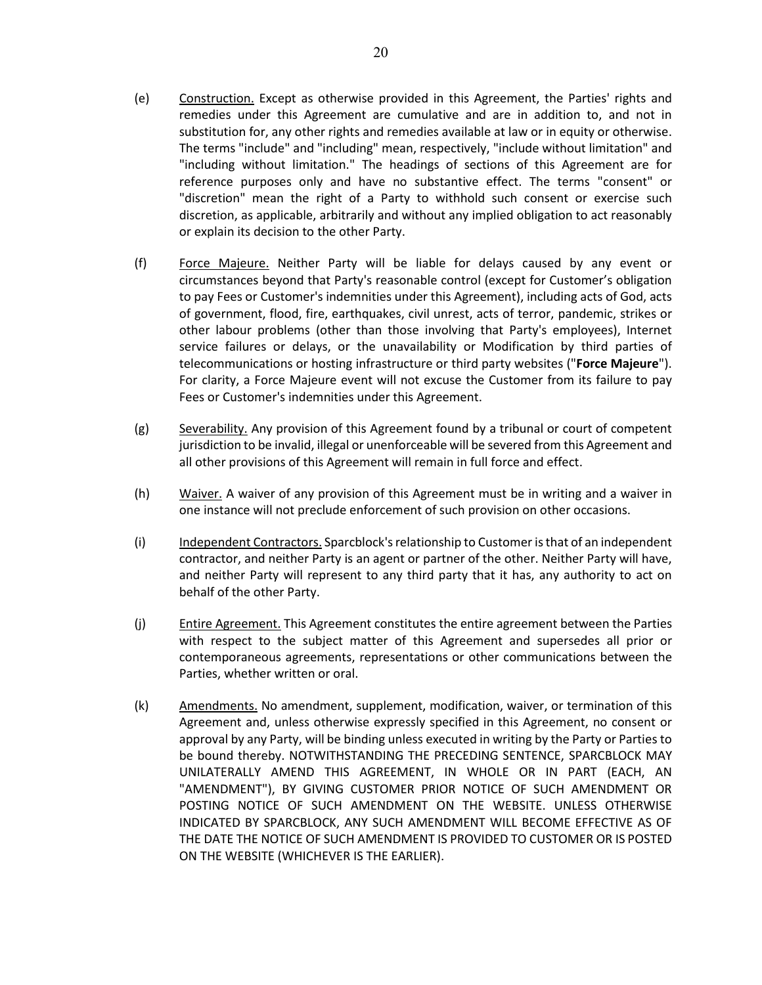- (e) Construction. Except as otherwise provided in this Agreement, the Parties' rights and remedies under this Agreement are cumulative and are in addition to, and not in substitution for, any other rights and remedies available at law or in equity or otherwise. The terms "include" and "including" mean, respectively, "include without limitation" and "including without limitation." The headings of sections of this Agreement are for reference purposes only and have no substantive effect. The terms "consent" or "discretion" mean the right of a Party to withhold such consent or exercise such discretion, as applicable, arbitrarily and without any implied obligation to act reasonably or explain its decision to the other Party.
- (f) Force Majeure. Neither Party will be liable for delays caused by any event or circumstances beyond that Party's reasonable control (except for Customer's obligation to pay Fees or Customer's indemnities under this Agreement), including acts of God, acts of government, flood, fire, earthquakes, civil unrest, acts of terror, pandemic, strikes or other labour problems (other than those involving that Party's employees), Internet service failures or delays, or the unavailability or Modification by third parties of telecommunications or hosting infrastructure or third party websites ("**Force Majeure**"). For clarity, a Force Majeure event will not excuse the Customer from its failure to pay Fees or Customer's indemnities under this Agreement.
- (g) Severability. Any provision of this Agreement found by a tribunal or court of competent jurisdiction to be invalid, illegal or unenforceable will be severed from this Agreement and all other provisions of this Agreement will remain in full force and effect.
- (h) Waiver. A waiver of any provision of this Agreement must be in writing and a waiver in one instance will not preclude enforcement of such provision on other occasions.
- (i) Independent Contractors. Sparcblock's relationship to Customer is that of an independent contractor, and neither Party is an agent or partner of the other. Neither Party will have, and neither Party will represent to any third party that it has, any authority to act on behalf of the other Party.
- (j) Entire Agreement. This Agreement constitutes the entire agreement between the Parties with respect to the subject matter of this Agreement and supersedes all prior or contemporaneous agreements, representations or other communications between the Parties, whether written or oral.
- <span id="page-19-0"></span>(k) Amendments. No amendment, supplement, modification, waiver, or termination of this Agreement and, unless otherwise expressly specified in this Agreement, no consent or approval by any Party, will be binding unless executed in writing by the Party or Parties to be bound thereby. NOTWITHSTANDING THE PRECEDING SENTENCE, SPARCBLOCK MAY UNILATERALLY AMEND THIS AGREEMENT, IN WHOLE OR IN PART (EACH, AN "AMENDMENT"), BY GIVING CUSTOMER PRIOR NOTICE OF SUCH AMENDMENT OR POSTING NOTICE OF SUCH AMENDMENT ON THE WEBSITE. UNLESS OTHERWISE INDICATED BY SPARCBLOCK, ANY SUCH AMENDMENT WILL BECOME EFFECTIVE AS OF THE DATE THE NOTICE OF SUCH AMENDMENT IS PROVIDED TO CUSTOMER OR IS POSTED ON THE WEBSITE (WHICHEVER IS THE EARLIER).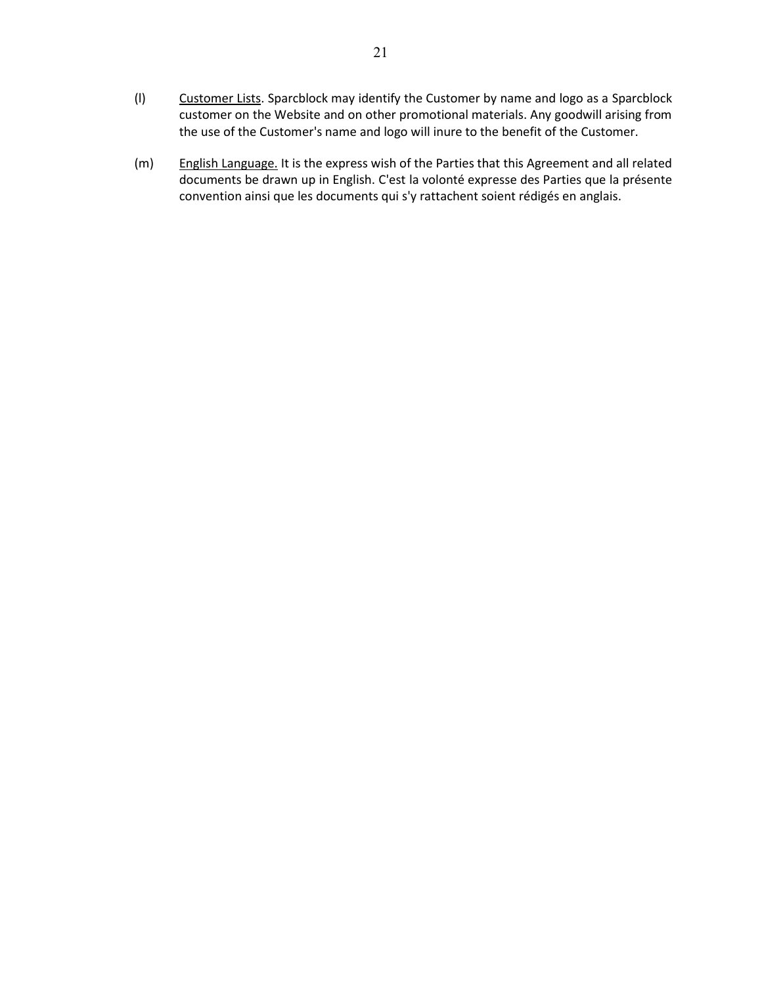- (l) Customer Lists. Sparcblock may identify the Customer by name and logo as a Sparcblock customer on the Website and on other promotional materials. Any goodwill arising from the use of the Customer's name and logo will inure to the benefit of the Customer.
- (m) English Language. It is the express wish of the Parties that this Agreement and all related documents be drawn up in English. C'est la volonté expresse des Parties que la présente convention ainsi que les documents qui s'y rattachent soient rédigés en anglais.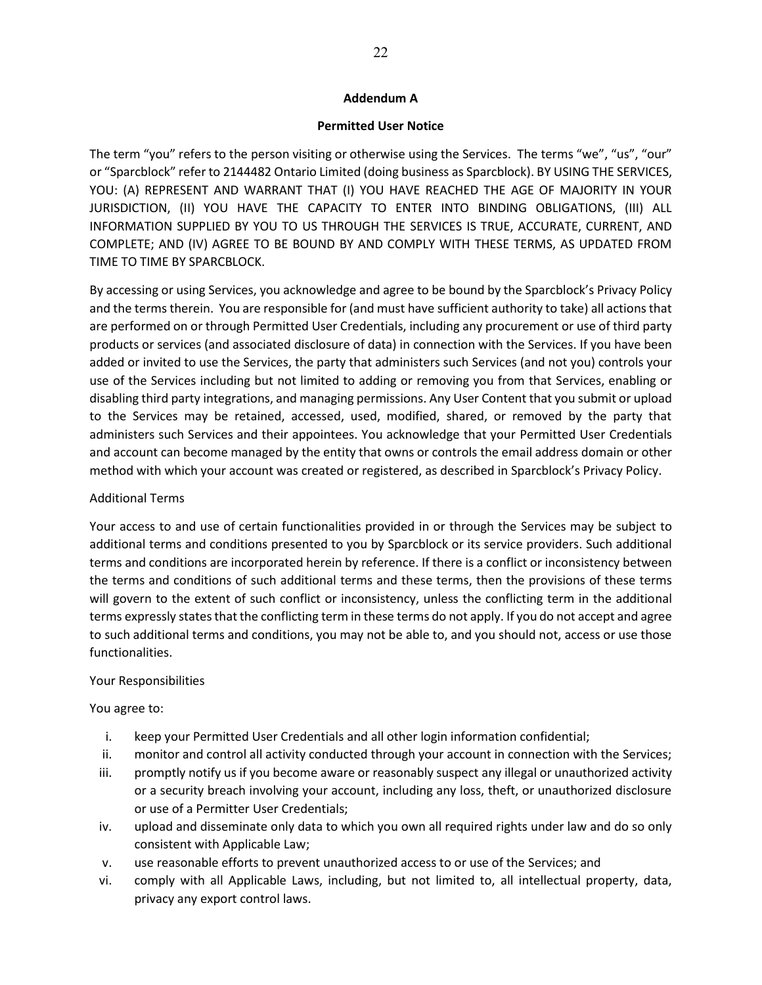## **Addendum A**

### **Permitted User Notice**

The term "you" refers to the person visiting or otherwise using the Services. The terms "we", "us", "our" or "Sparcblock" refer to 2144482 Ontario Limited (doing business as Sparcblock). BY USING THE SERVICES, YOU: (A) REPRESENT AND WARRANT THAT (I) YOU HAVE REACHED THE AGE OF MAJORITY IN YOUR JURISDICTION, (II) YOU HAVE THE CAPACITY TO ENTER INTO BINDING OBLIGATIONS, (III) ALL INFORMATION SUPPLIED BY YOU TO US THROUGH THE SERVICES IS TRUE, ACCURATE, CURRENT, AND COMPLETE; AND (IV) AGREE TO BE BOUND BY AND COMPLY WITH THESE TERMS, AS UPDATED FROM TIME TO TIME BY SPARCBLOCK.

By accessing or using Services, you acknowledge and agree to be bound by the Sparcblock's Privacy Policy and the terms therein. You are responsible for (and must have sufficient authority to take) all actions that are performed on or through Permitted User Credentials, including any procurement or use of third party products or services (and associated disclosure of data) in connection with the Services. If you have been added or invited to use the Services, the party that administers such Services (and not you) controls your use of the Services including but not limited to adding or removing you from that Services, enabling or disabling third party integrations, and managing permissions. Any User Content that you submit or upload to the Services may be retained, accessed, used, modified, shared, or removed by the party that administers such Services and their appointees. You acknowledge that your Permitted User Credentials and account can become managed by the entity that owns or controls the email address domain or other method with which your account was created or registered, as described in Sparcblock's Privacy Policy.

### Additional Terms

Your access to and use of certain functionalities provided in or through the Services may be subject to additional terms and conditions presented to you by Sparcblock or its service providers. Such additional terms and conditions are incorporated herein by reference. If there is a conflict or inconsistency between the terms and conditions of such additional terms and these terms, then the provisions of these terms will govern to the extent of such conflict or inconsistency, unless the conflicting term in the additional terms expressly states that the conflicting term in these terms do not apply. If you do not accept and agree to such additional terms and conditions, you may not be able to, and you should not, access or use those functionalities.

# Your Responsibilities

You agree to:

- i. keep your Permitted User Credentials and all other login information confidential;
- ii. monitor and control all activity conducted through your account in connection with the Services;
- iii. promptly notify us if you become aware or reasonably suspect any illegal or unauthorized activity or a security breach involving your account, including any loss, theft, or unauthorized disclosure or use of a Permitter User Credentials;
- iv. upload and disseminate only data to which you own all required rights under law and do so only consistent with Applicable Law;
- v. use reasonable efforts to prevent unauthorized access to or use of the Services; and
- vi. comply with all Applicable Laws, including, but not limited to, all intellectual property, data, privacy any export control laws.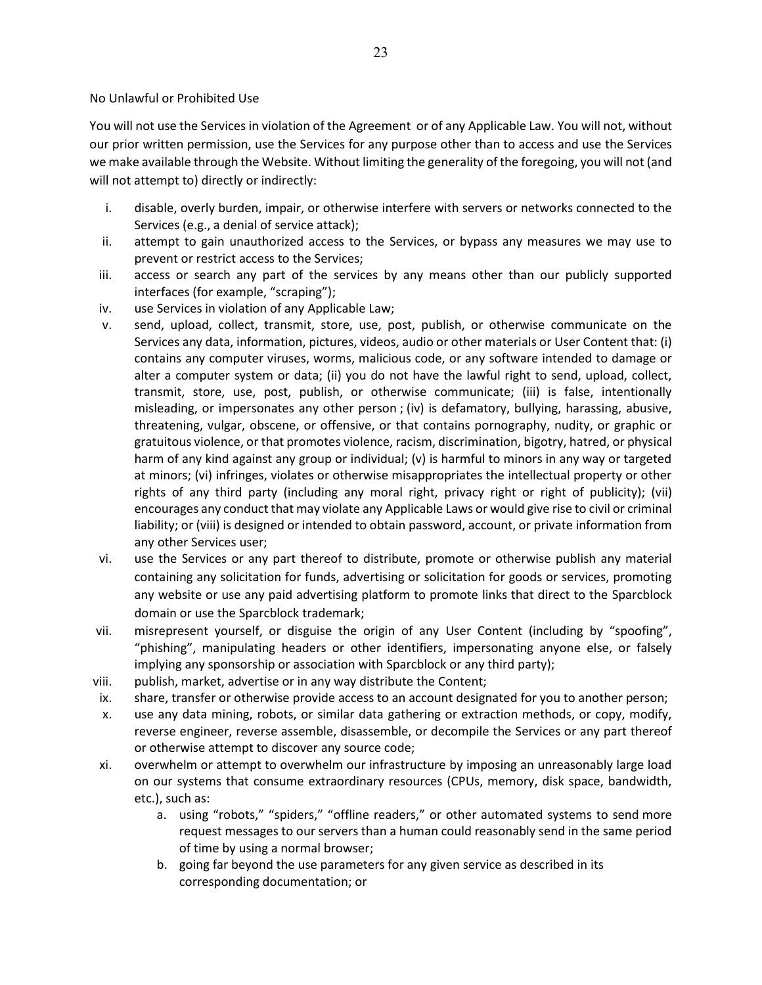## No Unlawful or Prohibited Use

You will not use the Services in violation of the Agreement or of any Applicable Law. You will not, without our prior written permission, use the Services for any purpose other than to access and use the Services we make available through the Website. Without limiting the generality of the foregoing, you will not (and will not attempt to) directly or indirectly:

23

- i. disable, overly burden, impair, or otherwise interfere with servers or networks connected to the Services (e.g., a denial of service attack);
- ii. attempt to gain unauthorized access to the Services, or bypass any measures we may use to prevent or restrict access to the Services;
- iii. access or search any part of the services by any means other than our publicly supported interfaces (for example, "scraping");
- iv. use Services in violation of any Applicable Law;
- v. send, upload, collect, transmit, store, use, post, publish, or otherwise communicate on the Services any data, information, pictures, videos, audio or other materials or User Content that: (i) contains any computer viruses, worms, malicious code, or any software intended to damage or alter a computer system or data; (ii) you do not have the lawful right to send, upload, collect, transmit, store, use, post, publish, or otherwise communicate; (iii) is false, intentionally misleading, or impersonates any other person ; (iv) is defamatory, bullying, harassing, abusive, threatening, vulgar, obscene, or offensive, or that contains pornography, nudity, or graphic or gratuitous violence, or that promotes violence, racism, discrimination, bigotry, hatred, or physical harm of any kind against any group or individual; (v) is harmful to minors in any way or targeted at minors; (vi) infringes, violates or otherwise misappropriates the intellectual property or other rights of any third party (including any moral right, privacy right or right of publicity); (vii) encourages any conduct that may violate any Applicable Laws or would give rise to civil or criminal liability; or (viii) is designed or intended to obtain password, account, or private information from any other Services user;
- vi. use the Services or any part thereof to distribute, promote or otherwise publish any material containing any solicitation for funds, advertising or solicitation for goods or services, promoting any website or use any paid advertising platform to promote links that direct to the Sparcblock domain or use the Sparcblock trademark;
- vii. misrepresent yourself, or disguise the origin of any User Content (including by "spoofing", "phishing", manipulating headers or other identifiers, impersonating anyone else, or falsely implying any sponsorship or association with Sparcblock or any third party);
- viii. publish, market, advertise or in any way distribute the Content;
- ix. share, transfer or otherwise provide access to an account designated for you to another person;
- x. use any data mining, robots, or similar data gathering or extraction methods, or copy, modify, reverse engineer, reverse assemble, disassemble, or decompile the Services or any part thereof or otherwise attempt to discover any source code;
- xi. overwhelm or attempt to overwhelm our infrastructure by imposing an unreasonably large load on our systems that consume extraordinary resources (CPUs, memory, disk space, bandwidth, etc.), such as:
	- a. using "robots," "spiders," "offline readers," or other automated systems to send more request messages to our servers than a human could reasonably send in the same period of time by using a normal browser;
	- b. going far beyond the use parameters for any given service as described in its corresponding documentation; or